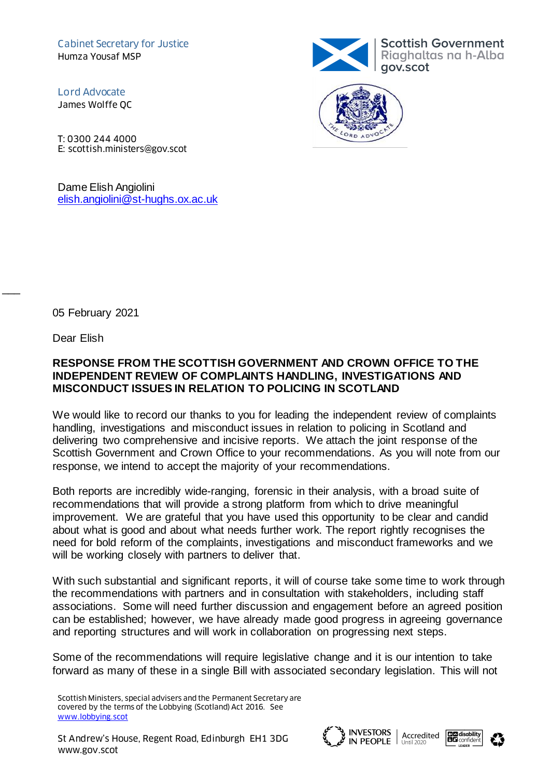Cabinet Secretary for Justice Humza Yousaf MSP

Lord Advocate James Wolffe QC

T: 0300 244 4000 E: scottish.ministers@gov.scot

Dame Elish Angiolini [elish.angiolini@st-hughs.ox.ac.uk](mailto:elish.angiolini@st-hughs.ox.ac.uk)





05 February 2021

Dear Elish

 $\overline{\phantom{a}}$ 

# **RESPONSE FROM THE SCOTTISH GOVERNMENT AND CROWN OFFICE TO THE INDEPENDENT REVIEW OF COMPLAINTS HANDLING, INVESTIGATIONS AND MISCONDUCT ISSUES IN RELATION TO POLICING IN SCOTLAND**

We would like to record our thanks to you for leading the independent review of complaints handling, investigations and misconduct issues in relation to policing in Scotland and delivering two comprehensive and incisive reports. We attach the joint response of the Scottish Government and Crown Office to your recommendations. As you will note from our response, we intend to accept the majority of your recommendations.

Both reports are incredibly wide-ranging, forensic in their analysis, with a broad suite of recommendations that will provide a strong platform from which to drive meaningful improvement. We are grateful that you have used this opportunity to be clear and candid about what is good and about what needs further work. The report rightly recognises the need for bold reform of the complaints, investigations and misconduct frameworks and we will be working closely with partners to deliver that.

With such substantial and significant reports, it will of course take some time to work through the recommendations with partners and in consultation with stakeholders, including staff associations. Some will need further discussion and engagement before an agreed position can be established; however, we have already made good progress in agreeing governance and reporting structures and will work in collaboration on progressing next steps.

Some of the recommendations will require legislative change and it is our intention to take forward as many of these in a single Bill with associated secondary legislation. This will not







Scottish Ministers, special advisers and the Permanent Secretary are covered by the terms of the Lobbying (Scotland) Act 2016. See [www.lobbying.scot](http://www.lobbying.scot/)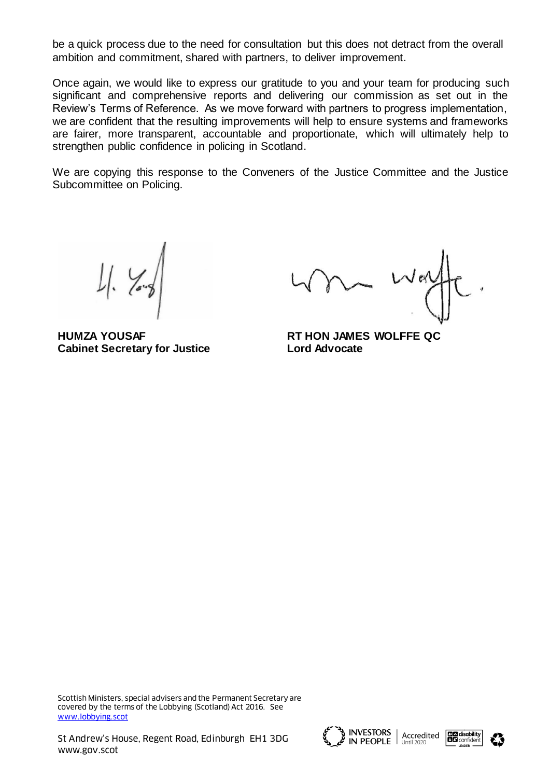be a quick process due to the need for consultation but this does not detract from the overall ambition and commitment, shared with partners, to deliver improvement.

Once again, we would like to express our gratitude to you and your team for producing such significant and comprehensive reports and delivering our commission as set out in the Review's Terms of Reference. As we move forward with partners to progress implementation, we are confident that the resulting improvements will help to ensure systems and frameworks are fairer, more transparent, accountable and proportionate, which will ultimately help to strengthen public confidence in policing in Scotland.

We are copying this response to the Conveners of the Justice Committee and the Justice Subcommittee on Policing.

**HUMZA YOUSAF RT HON JAMES WOLFFE QC Cabinet Secretary for Justice Lord Advocate**

 $\vee$  eq

Scottish Ministers, special advisers and the Permanent Secretary are covered by the terms of the Lobbying (Scotland) Act 2016. See [www.lobbying.scot](http://www.lobbying.scot/)





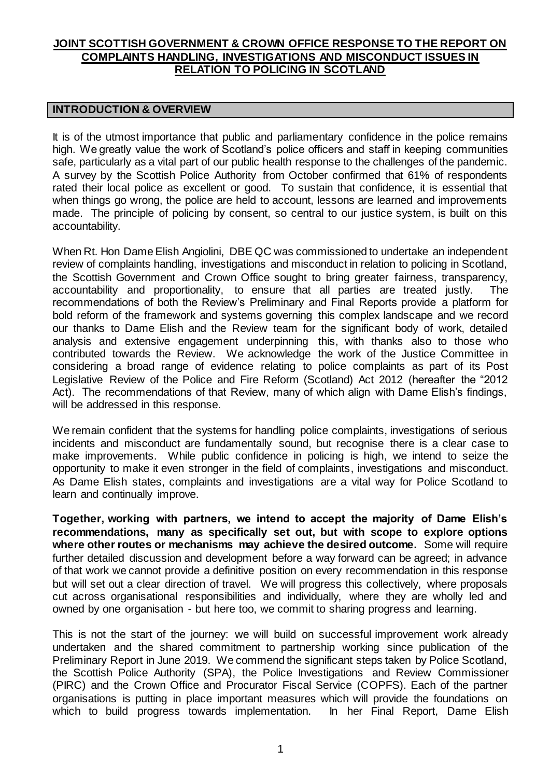# **JOINT SCOTTISH GOVERNMENT & CROWN OFFICE RESPONSE TO THE REPORT ON COMPLAINTS HANDLING, INVESTIGATIONS AND MISCONDUCT ISSUES IN RELATION TO POLICING IN SCOTLAND**

## **INTRODUCTION & OVERVIEW**

It is of the utmost importance that public and parliamentary confidence in the police remains high. We greatly value the work of Scotland's police officers and staff in keeping communities safe, particularly as a vital part of our public health response to the challenges of the pandemic. A survey by the Scottish Police Authority from October confirmed that 61% of respondents rated their local police as excellent or good. To sustain that confidence, it is essential that when things go wrong, the police are held to account, lessons are learned and improvements made. The principle of policing by consent, so central to our justice system, is built on this accountability.

When Rt. Hon Dame Elish Angiolini, DBE QC was commissioned to undertake an independent review of complaints handling, investigations and misconduct in relation to policing in Scotland, the Scottish Government and Crown Office sought to bring greater fairness, transparency, accountability and proportionality, to ensure that all parties are treated justly. The recommendations of both the Review's Preliminary and Final Reports provide a platform for bold reform of the framework and systems governing this complex landscape and we record our thanks to Dame Elish and the Review team for the significant body of work, detailed analysis and extensive engagement underpinning this, with thanks also to those who contributed towards the Review. We acknowledge the work of the Justice Committee in considering a broad range of evidence relating to police complaints as part of its Post Legislative Review of the Police and Fire Reform (Scotland) Act 2012 (hereafter the "2012 Act). The recommendations of that Review, many of which align with Dame Elish's findings, will be addressed in this response.

We remain confident that the systems for handling police complaints, investigations of serious incidents and misconduct are fundamentally sound, but recognise there is a clear case to make improvements. While public confidence in policing is high, we intend to seize the opportunity to make it even stronger in the field of complaints, investigations and misconduct. As Dame Elish states, complaints and investigations are a vital way for Police Scotland to learn and continually improve.

**Together, working with partners, we intend to accept the majority of Dame Elish's recommendations, many as specifically set out, but with scope to explore options where other routes or mechanisms may achieve the desired outcome.** Some will require further detailed discussion and development before a way forward can be agreed; in advance of that work we cannot provide a definitive position on every recommendation in this response but will set out a clear direction of travel. We will progress this collectively, where proposals cut across organisational responsibilities and individually, where they are wholly led and owned by one organisation - but here too, we commit to sharing progress and learning.

This is not the start of the journey: we will build on successful improvement work already undertaken and the shared commitment to partnership working since publication of the Preliminary Report in June 2019. We commend the significant steps taken by Police Scotland, the Scottish Police Authority (SPA), the Police Investigations and Review Commissioner (PIRC) and the Crown Office and Procurator Fiscal Service (COPFS). Each of the partner organisations is putting in place important measures which will provide the foundations on which to build progress towards implementation. In her Final Report, Dame Elish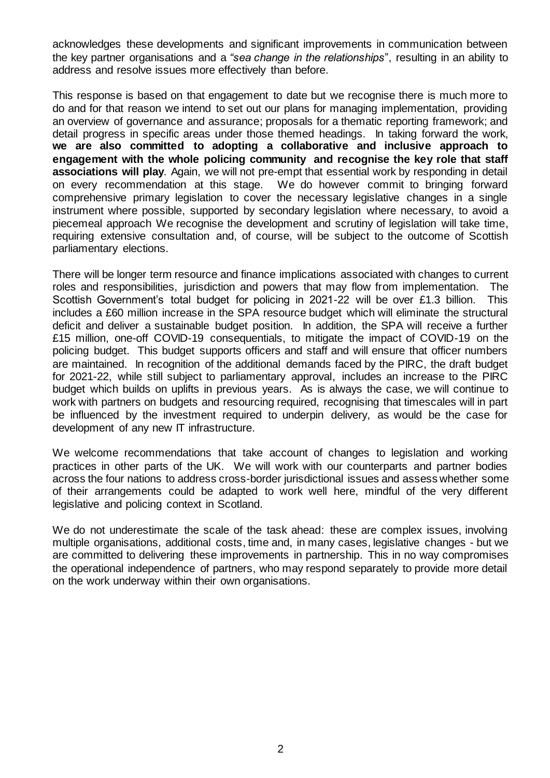acknowledges these developments and significant improvements in communication between the key partner organisations and a *"sea change in the relationships*", resulting in an ability to address and resolve issues more effectively than before.

This response is based on that engagement to date but we recognise there is much more to do and for that reason we intend to set out our plans for managing implementation, providing an overview of governance and assurance; proposals for a thematic reporting framework; and detail progress in specific areas under those themed headings. In taking forward the work, **we are also committed to adopting a collaborative and inclusive approach to engagement with the whole policing community and recognise the key role that staff associations will play**. Again, we will not pre-empt that essential work by responding in detail on every recommendation at this stage. We do however commit to bringing forward comprehensive primary legislation to cover the necessary legislative changes in a single instrument where possible, supported by secondary legislation where necessary, to avoid a piecemeal approach We recognise the development and scrutiny of legislation will take time, requiring extensive consultation and, of course, will be subject to the outcome of Scottish parliamentary elections.

There will be longer term resource and finance implications associated with changes to current roles and responsibilities, jurisdiction and powers that may flow from implementation. The Scottish Government's total budget for policing in 2021-22 will be over £1.3 billion. This includes a £60 million increase in the SPA resource budget which will eliminate the structural deficit and deliver a sustainable budget position. In addition, the SPA will receive a further £15 million, one-off COVID-19 consequentials, to mitigate the impact of COVID-19 on the policing budget. This budget supports officers and staff and will ensure that officer numbers are maintained. In recognition of the additional demands faced by the PIRC, the draft budget for 2021-22, while still subject to parliamentary approval, includes an increase to the PIRC budget which builds on uplifts in previous years. As is always the case, we will continue to work with partners on budgets and resourcing required, recognising that timescales will in part be influenced by the investment required to underpin delivery, as would be the case for development of any new IT infrastructure.

We welcome recommendations that take account of changes to legislation and working practices in other parts of the UK. We will work with our counterparts and partner bodies across the four nations to address cross-border jurisdictional issues and assess whether some of their arrangements could be adapted to work well here, mindful of the very different legislative and policing context in Scotland.

We do not underestimate the scale of the task ahead: these are complex issues, involving multiple organisations, additional costs, time and, in many cases, legislative changes - but we are committed to delivering these improvements in partnership. This in no way compromises the operational independence of partners, who may respond separately to provide more detail on the work underway within their own organisations.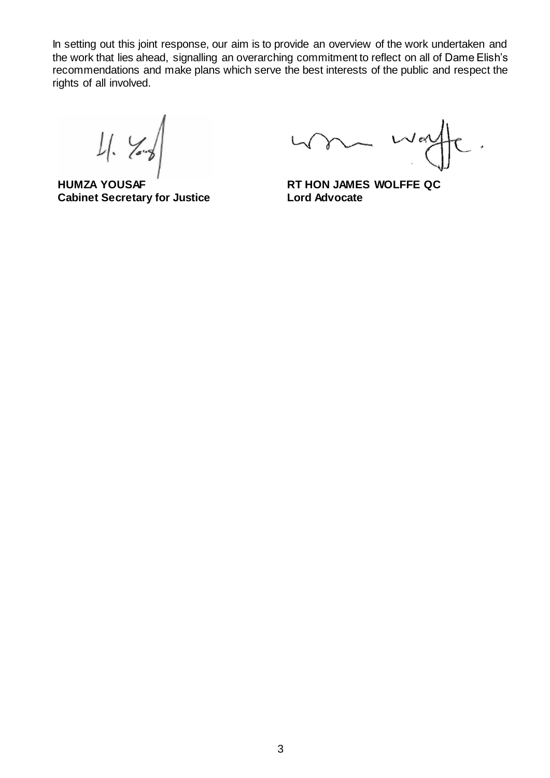In setting out this joint response, our aim is to provide an overview of the work undertaken and the work that lies ahead, signalling an overarching commitment to reflect on all of Dame Elish's recommendations and make plans which serve the best interests of the public and respect the rights of all involved.

 $11.$  You

**HUMZA YOUSAF RT HON JAMES WOLFFE QC Cabinet Secretary for Justice Lord Advocate**

 $W$ ery  $\sqrt{ }$ .,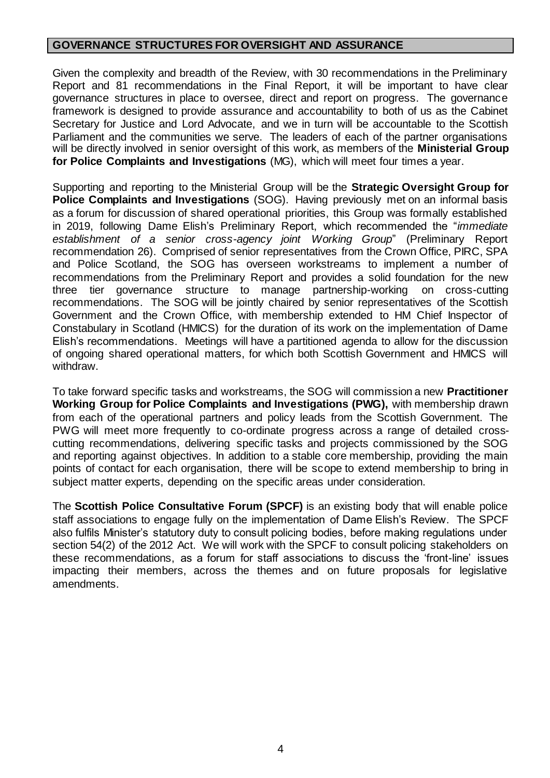# **GOVERNANCE STRUCTURES FOR OVERSIGHT AND ASSURANCE**

Given the complexity and breadth of the Review, with 30 recommendations in the Preliminary Report and 81 recommendations in the Final Report, it will be important to have clear governance structures in place to oversee, direct and report on progress. The governance framework is designed to provide assurance and accountability to both of us as the Cabinet Secretary for Justice and Lord Advocate, and we in turn will be accountable to the Scottish Parliament and the communities we serve. The leaders of each of the partner organisations will be directly involved in senior oversight of this work, as members of the **Ministerial Group for Police Complaints and Investigations** (MG), which will meet four times a year.

Supporting and reporting to the Ministerial Group will be the **Strategic Oversight Group for Police Complaints and Investigations** (SOG). Having previously met on an informal basis as a forum for discussion of shared operational priorities, this Group was formally established in 2019, following Dame Elish's Preliminary Report, which recommended the "*immediate establishment of a senior cross-agency joint Working Group*" (Preliminary Report recommendation 26). Comprised of senior representatives from the Crown Office, PIRC, SPA and Police Scotland, the SOG has overseen workstreams to implement a number of recommendations from the Preliminary Report and provides a solid foundation for the new three tier governance structure to manage partnership-working on cross-cutting recommendations. The SOG will be jointly chaired by senior representatives of the Scottish Government and the Crown Office, with membership extended to HM Chief Inspector of Constabulary in Scotland (HMICS) for the duration of its work on the implementation of Dame Elish's recommendations. Meetings will have a partitioned agenda to allow for the discussion of ongoing shared operational matters, for which both Scottish Government and HMICS will withdraw.

To take forward specific tasks and workstreams, the SOG will commission a new **Practitioner Working Group for Police Complaints and Investigations (PWG),** with membership drawn from each of the operational partners and policy leads from the Scottish Government. The PWG will meet more frequently to co-ordinate progress across a range of detailed crosscutting recommendations, delivering specific tasks and projects commissioned by the SOG and reporting against objectives. In addition to a stable core membership, providing the main points of contact for each organisation, there will be scope to extend membership to bring in subject matter experts, depending on the specific areas under consideration.

The **Scottish Police Consultative Forum (SPCF)** is an existing body that will enable police staff associations to engage fully on the implementation of Dame Elish's Review. The SPCF also fulfils Minister's statutory duty to consult policing bodies, before making regulations under section 54(2) of the 2012 Act. We will work with the SPCF to consult policing stakeholders on these recommendations, as a forum for staff associations to discuss the 'front-line' issues impacting their members, across the themes and on future proposals for legislative amendments.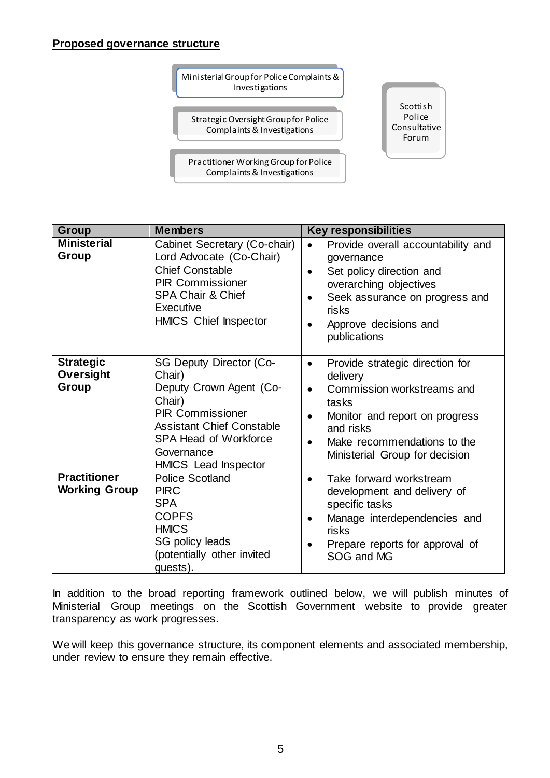# **Proposed governance structure**



| Group                                         | <b>Members</b>                                                                                                                                                                                                            | <b>Key responsibilities</b>                                                                                                                                                                                                                            |
|-----------------------------------------------|---------------------------------------------------------------------------------------------------------------------------------------------------------------------------------------------------------------------------|--------------------------------------------------------------------------------------------------------------------------------------------------------------------------------------------------------------------------------------------------------|
| <b>Ministerial</b><br>Group                   | Cabinet Secretary (Co-chair)<br>Lord Advocate (Co-Chair)<br><b>Chief Constable</b><br><b>PIR Commissioner</b><br><b>SPA Chair &amp; Chief</b><br>Executive<br><b>HMICS Chief Inspector</b>                                | Provide overall accountability and<br>$\bullet$<br>governance<br>Set policy direction and<br>$\bullet$<br>overarching objectives<br>Seek assurance on progress and<br>$\bullet$<br>risks<br>Approve decisions and<br>$\bullet$<br>publications         |
| <b>Strategic</b><br><b>Oversight</b><br>Group | <b>SG Deputy Director (Co-</b><br>Chair)<br>Deputy Crown Agent (Co-<br>Chair)<br><b>PIR Commissioner</b><br><b>Assistant Chief Constable</b><br><b>SPA Head of Workforce</b><br>Governance<br><b>HMICS</b> Lead Inspector | Provide strategic direction for<br>$\bullet$<br>delivery<br>Commission workstreams and<br>$\bullet$<br>tasks<br>Monitor and report on progress<br>$\bullet$<br>and risks<br>Make recommendations to the<br>$\bullet$<br>Ministerial Group for decision |
| <b>Practitioner</b><br><b>Working Group</b>   | <b>Police Scotland</b><br><b>PIRC</b><br><b>SPA</b><br><b>COPFS</b><br><b>HMICS</b><br>SG policy leads<br>(potentially other invited<br>guests).                                                                          | Take forward workstream<br>$\bullet$<br>development and delivery of<br>specific tasks<br>Manage interdependencies and<br>$\bullet$<br>risks<br>Prepare reports for approval of<br>$\bullet$<br>SOG and MG                                              |

In addition to the broad reporting framework outlined below, we will publish minutes of Ministerial Group meetings on the Scottish Government website to provide greater transparency as work progresses.

We will keep this governance structure, its component elements and associated membership, under review to ensure they remain effective.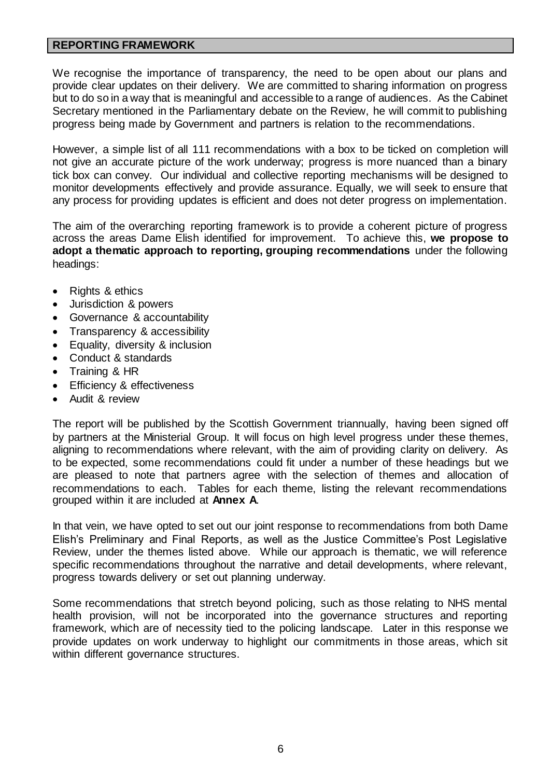## **REPORTING FRAMEWORK**

We recognise the importance of transparency, the need to be open about our plans and provide clear updates on their delivery. We are committed to sharing information on progress but to do so in a way that is meaningful and accessible to a range of audiences. As the Cabinet Secretary mentioned in the Parliamentary debate on the Review, he will commit to publishing progress being made by Government and partners is relation to the recommendations.

However, a simple list of all 111 recommendations with a box to be ticked on completion will not give an accurate picture of the work underway; progress is more nuanced than a binary tick box can convey. Our individual and collective reporting mechanisms will be designed to monitor developments effectively and provide assurance. Equally, we will seek to ensure that any process for providing updates is efficient and does not deter progress on implementation.

The aim of the overarching reporting framework is to provide a coherent picture of progress across the areas Dame Elish identified for improvement. To achieve this, **we propose to adopt a thematic approach to reporting, grouping recommendations** under the following headings:

- Rights & ethics
- Jurisdiction & powers
- Governance & accountability
- Transparency & accessibility
- Equality, diversity & inclusion
- Conduct & standards
- Training & HR
- Efficiency & effectiveness
- Audit & review

The report will be published by the Scottish Government triannually, having been signed off by partners at the Ministerial Group. It will focus on high level progress under these themes, aligning to recommendations where relevant, with the aim of providing clarity on delivery. As to be expected, some recommendations could fit under a number of these headings but we are pleased to note that partners agree with the selection of themes and allocation of recommendations to each. Tables for each theme, listing the relevant recommendations grouped within it are included at **Annex A**.

In that vein, we have opted to set out our joint response to recommendations from both Dame Elish's Preliminary and Final Reports, as well as the Justice Committee's Post Legislative Review, under the themes listed above. While our approach is thematic, we will reference specific recommendations throughout the narrative and detail developments, where relevant, progress towards delivery or set out planning underway.

Some recommendations that stretch beyond policing, such as those relating to NHS mental health provision, will not be incorporated into the governance structures and reporting framework, which are of necessity tied to the policing landscape. Later in this response we provide updates on work underway to highlight our commitments in those areas, which sit within different governance structures.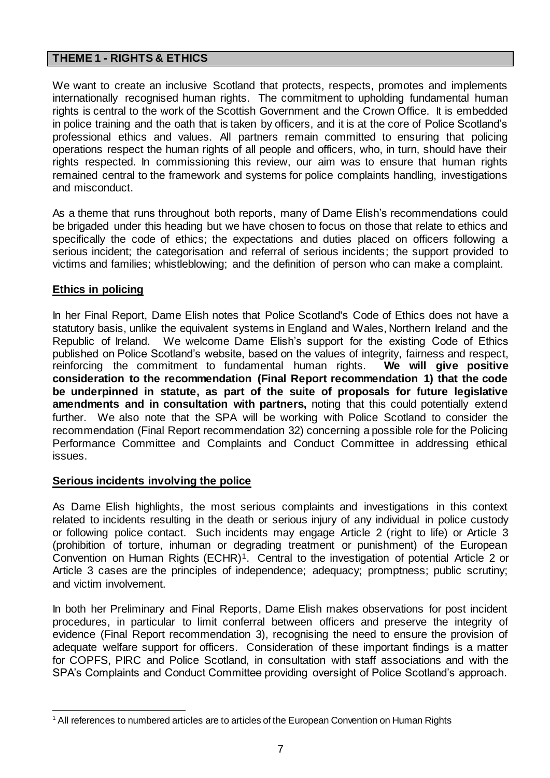# **THEME 1 - RIGHTS & ETHICS**

We want to create an inclusive Scotland that protects, respects, promotes and implements internationally recognised human rights. The commitment to upholding fundamental human rights is central to the work of the Scottish Government and the Crown Office. It is embedded in police training and the oath that is taken by officers, and it is at the core of Police Scotland's professional ethics and values. All partners remain committed to ensuring that policing operations respect the human rights of all people and officers, who, in turn, should have their rights respected. In commissioning this review, our aim was to ensure that human rights remained central to the framework and systems for police complaints handling, investigations and misconduct.

As a theme that runs throughout both reports, many of Dame Elish's recommendations could be brigaded under this heading but we have chosen to focus on those that relate to ethics and specifically the code of ethics; the expectations and duties placed on officers following a serious incident; the categorisation and referral of serious incidents; the support provided to victims and families; whistleblowing; and the definition of person who can make a complaint.

## **Ethics in policing**

In her Final Report, Dame Elish notes that Police Scotland's Code of Ethics does not have a statutory basis, unlike the equivalent systems in England and Wales, Northern Ireland and the Republic of Ireland. We welcome Dame Elish's support for the existing Code of Ethics published on Police Scotland's website, based on the values of integrity, fairness and respect, reinforcing the commitment to fundamental human rights. **We will give positive consideration to the recommendation (Final Report recommendation 1) that the code be underpinned in statute, as part of the suite of proposals for future legislative amendments and in consultation with partners,** noting that this could potentially extend further. We also note that the SPA will be working with Police Scotland to consider the recommendation (Final Report recommendation 32) concerning a possible role for the Policing Performance Committee and Complaints and Conduct Committee in addressing ethical issues.

## **Serious incidents involving the police**

As Dame Elish highlights, the most serious complaints and investigations in this context related to incidents resulting in the death or serious injury of any individual in police custody or following police contact. Such incidents may engage Article 2 (right to life) or Article 3 (prohibition of torture, inhuman or degrading treatment or punishment) of the European Convention on Human Rights (ECHR)1. Central to the investigation of potential Article 2 or Article 3 cases are the principles of independence; adequacy; promptness; public scrutiny; and victim involvement.

In both her Preliminary and Final Reports, Dame Elish makes observations for post incident procedures, in particular to limit conferral between officers and preserve the integrity of evidence (Final Report recommendation 3), recognising the need to ensure the provision of adequate welfare support for officers. Consideration of these important findings is a matter for COPFS, PIRC and Police Scotland, in consultation with staff associations and with the SPA's Complaints and Conduct Committee providing oversight of Police Scotland's approach.

<sup>1</sup> <sup>1</sup> All references to numbered articles are to articles of the European Convention on Human Rights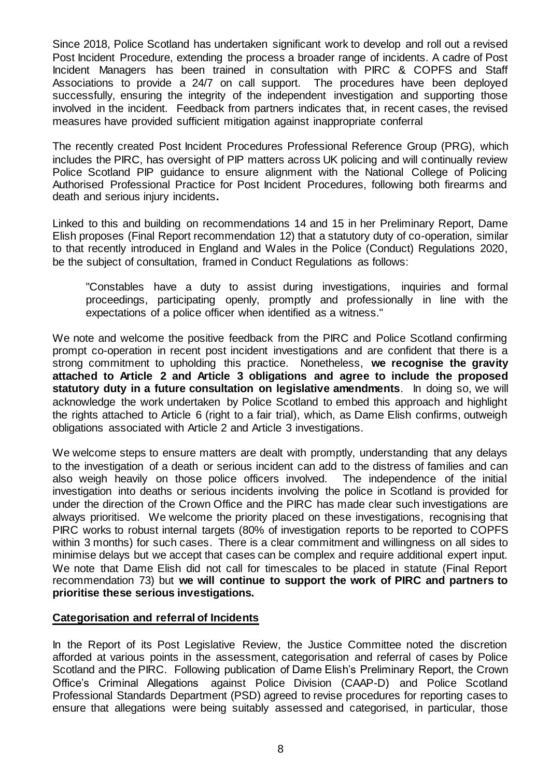Since 2018, Police Scotland has undertaken significant work to develop and roll out a revised Post Incident Procedure, extending the process a broader range of incidents. A cadre of Post Incident Managers has been trained in consultation with PIRC & COPFS and Staff Associations to provide a 24/7 on call support. The procedures have been deployed successfully, ensuring the integrity of the independent investigation and supporting those involved in the incident. Feedback from partners indicates that, in recent cases, the revised measures have provided sufficient mitigation against inappropriate conferral

The recently created Post Incident Procedures Professional Reference Group (PRG), which includes the PIRC, has oversight of PIP matters across UK policing and will continually review Police Scotland PIP guidance to ensure alignment with the National College of Policing Authorised Professional Practice for Post Incident Procedures, following both firearms and death and serious injury incidents**.** 

Linked to this and building on recommendations 14 and 15 in her Preliminary Report, Dame Elish proposes (Final Report recommendation 12) that a statutory duty of co-operation, similar to that recently introduced in England and Wales in the Police (Conduct) Regulations 2020, be the subject of consultation, framed in Conduct Regulations as follows:

"Constables have a duty to assist during investigations, inquiries and formal proceedings, participating openly, promptly and professionally in line with the expectations of a police officer when identified as a witness."

We note and welcome the positive feedback from the PIRC and Police Scotland confirming prompt co-operation in recent post incident investigations and are confident that there is a strong commitment to upholding this practice. Nonetheless, **we recognise the gravity attached to Article 2 and Article 3 obligations and agree to include the proposed statutory duty in a future consultation on legislative amendments**. In doing so, we will acknowledge the work undertaken by Police Scotland to embed this approach and highlight the rights attached to Article 6 (right to a fair trial), which, as Dame Elish confirms, outweigh obligations associated with Article 2 and Article 3 investigations.

We welcome steps to ensure matters are dealt with promptly, understanding that any delays to the investigation of a death or serious incident can add to the distress of families and can also weigh heavily on those police officers involved. The independence of the initial investigation into deaths or serious incidents involving the police in Scotland is provided for under the direction of the Crown Office and the PIRC has made clear such investigations are always prioritised. We welcome the priority placed on these investigations, recognising that PIRC works to robust internal targets (80% of investigation reports to be reported to COPFS within 3 months) for such cases. There is a clear commitment and willingness on all sides to minimise delays but we accept that cases can be complex and require additional expert input. We note that Dame Elish did not call for timescales to be placed in statute (Final Report recommendation 73) but **we will continue to support the work of PIRC and partners to prioritise these serious investigations.**

## **Categorisation and referral of Incidents**

In the Report of its Post Legislative Review, the Justice Committee noted the discretion afforded at various points in the assessment, categorisation and referral of cases by Police Scotland and the PIRC. Following publication of Dame Elish's Preliminary Report, the Crown Office's Criminal Allegations against Police Division (CAAP-D) and Police Scotland Professional Standards Department (PSD) agreed to revise procedures for reporting cases to ensure that allegations were being suitably assessed and categorised, in particular, those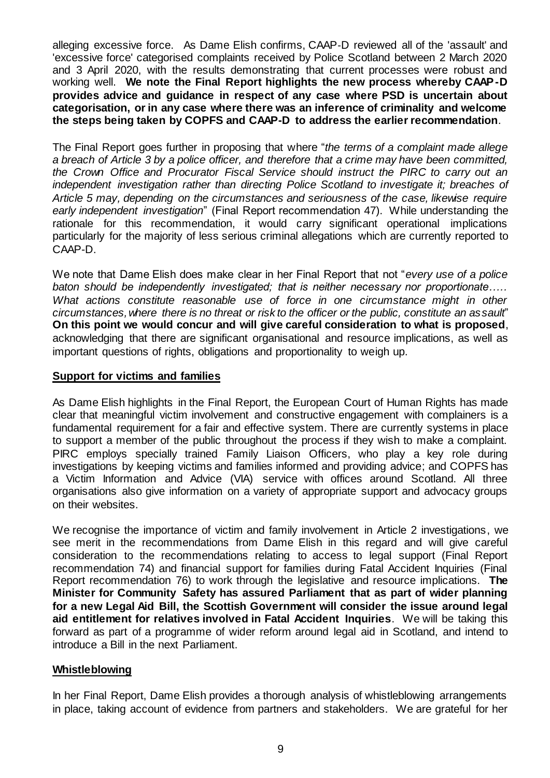alleging excessive force. As Dame Elish confirms, CAAP‑D reviewed all of the 'assault' and 'excessive force' categorised complaints received by Police Scotland between 2 March 2020 and 3 April 2020, with the results demonstrating that current processes were robust and working well. **We note the Final Report highlights the new process whereby CAAP-D provides advice and guidance in respect of any case where PSD is uncertain about categorisation, or in any case where there was an inference of criminality and welcome the steps being taken by COPFS and CAAP-D to address the earlier recommendation**.

The Final Report goes further in proposing that where "*the terms of a complaint made allege a breach of Article 3 by a police officer, and therefore that a crime may have been committed, the Crown Office and Procurator Fiscal Service should instruct the PIRC to carry out an independent investigation rather than directing Police Scotland to investigate it; breaches of Article 5 may, depending on the circumstances and seriousness of the case, likewise require early independent investigation*" (Final Report recommendation 47). While understanding the rationale for this recommendation, it would carry significant operational implications particularly for the majority of less serious criminal allegations which are currently reported to CAAP-D.

We note that Dame Elish does make clear in her Final Report that not "*every use of a police baton should be independently investigated; that is neither necessary nor proportionate….. What actions constitute reasonable use of force in one circumstance might in other circumstances, where there is no threat or risk to the officer or the public, constitute an assault*" **On this point we would concur and will give careful consideration to what is proposed**, acknowledging that there are significant organisational and resource implications, as well as important questions of rights, obligations and proportionality to weigh up.

## **Support for victims and families**

As Dame Elish highlights in the Final Report, the European Court of Human Rights has made clear that meaningful victim involvement and constructive engagement with complainers is a fundamental requirement for a fair and effective system. There are currently systems in place to support a member of the public throughout the process if they wish to make a complaint. PIRC employs specially trained Family Liaison Officers, who play a key role during investigations by keeping victims and families informed and providing advice; and COPFS has a Victim Information and Advice (VIA) service with offices around Scotland. All three organisations also give information on a variety of appropriate support and advocacy groups on their websites.

We recognise the importance of victim and family involvement in Article 2 investigations, we see merit in the recommendations from Dame Elish in this regard and will give careful consideration to the recommendations relating to access to legal support (Final Report recommendation 74) and financial support for families during Fatal Accident Inquiries (Final Report recommendation 76) to work through the legislative and resource implications. **The Minister for Community Safety has assured Parliament that as part of wider planning for a new Legal Aid Bill, the Scottish Government will consider the issue around legal aid entitlement for relatives involved in Fatal Accident Inquiries**. We will be taking this forward as part of a programme of wider reform around legal aid in Scotland, and intend to introduce a Bill in the next Parliament.

## **Whistleblowing**

In her Final Report, Dame Elish provides a thorough analysis of whistleblowing arrangements in place, taking account of evidence from partners and stakeholders. We are grateful for her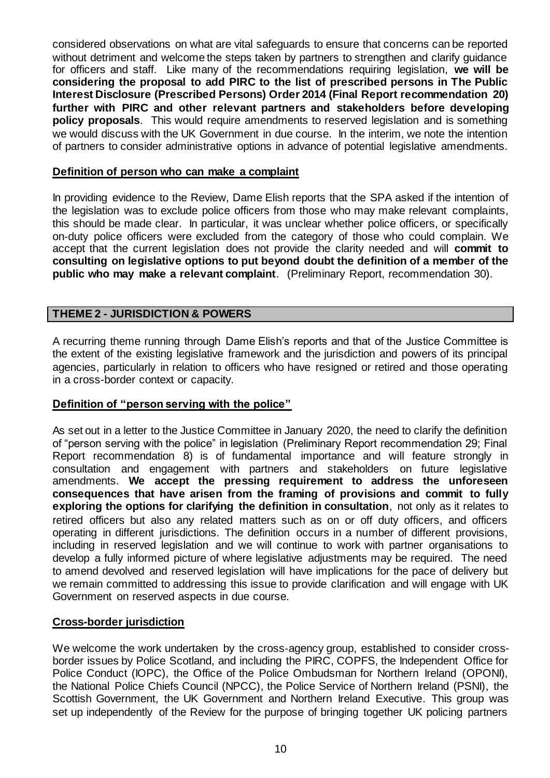considered observations on what are vital safeguards to ensure that concerns can be reported without detriment and welcome the steps taken by partners to strengthen and clarify guidance for officers and staff. Like many of the recommendations requiring legislation, **we will be considering the proposal to add PIRC to the list of prescribed persons in The Public Interest Disclosure (Prescribed Persons) Order 2014 (Final Report recommendation 20) further with PIRC and other relevant partners and stakeholders before developing policy proposals**. This would require amendments to reserved legislation and is something we would discuss with the UK Government in due course. In the interim, we note the intention of partners to consider administrative options in advance of potential legislative amendments.

#### **Definition of person who can make a complaint**

In providing evidence to the Review, Dame Elish reports that the SPA asked if the intention of the legislation was to exclude police officers from those who may make relevant complaints, this should be made clear. In particular, it was unclear whether police officers, or specifically on‑duty police officers were excluded from the category of those who could complain. We accept that the current legislation does not provide the clarity needed and will **commit to consulting on legislative options to put beyond doubt the definition of a member of the public who may make a relevant complaint**. (Preliminary Report, recommendation 30).

## **THEME 2 - JURISDICTION & POWERS**

A recurring theme running through Dame Elish's reports and that of the Justice Committee is the extent of the existing legislative framework and the jurisdiction and powers of its principal agencies, particularly in relation to officers who have resigned or retired and those operating in a cross-border context or capacity.

## **Definition of "person serving with the police"**

As set out in a letter to the Justice Committee in January 2020, the need to clarify the definition of "person serving with the police" in legislation (Preliminary Report recommendation 29; Final Report recommendation 8) is of fundamental importance and will feature strongly in consultation and engagement with partners and stakeholders on future legislative amendments. **We accept the pressing requirement to address the unforeseen consequences that have arisen from the framing of provisions and commit to fully exploring the options for clarifying the definition in consultation**, not only as it relates to retired officers but also any related matters such as on or off duty officers, and officers operating in different jurisdictions. The definition occurs in a number of different provisions, including in reserved legislation and we will continue to work with partner organisations to develop a fully informed picture of where legislative adjustments may be required. The need to amend devolved and reserved legislation will have implications for the pace of delivery but we remain committed to addressing this issue to provide clarification and will engage with UK Government on reserved aspects in due course.

#### **Cross-border jurisdiction**

We welcome the work undertaken by the cross-agency group, established to consider crossborder issues by Police Scotland, and including the PIRC, COPFS, the Independent Office for Police Conduct (IOPC), the Office of the Police Ombudsman for Northern Ireland (OPONI), the National Police Chiefs Council (NPCC), the Police Service of Northern Ireland (PSNI), the Scottish Government, the UK Government and Northern Ireland Executive. This group was set up independently of the Review for the purpose of bringing together UK policing partners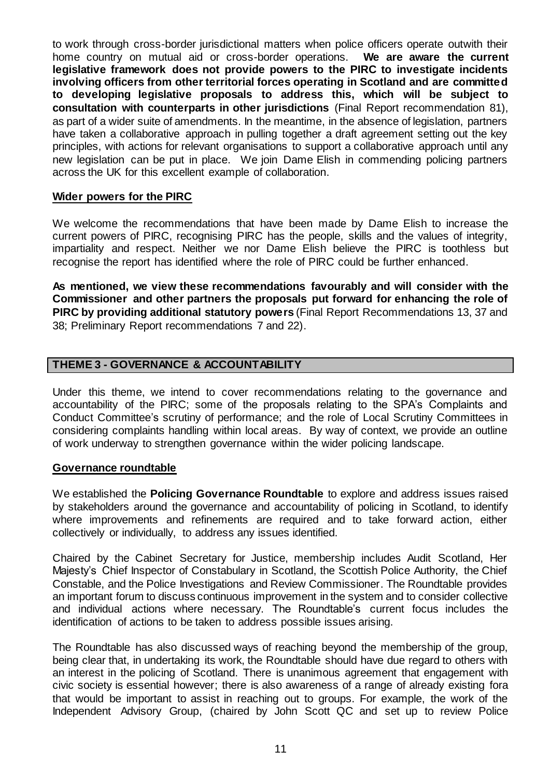to work through cross-border jurisdictional matters when police officers operate outwith their home country on mutual aid or cross-border operations. **We are aware the current legislative framework does not provide powers to the PIRC to investigate incidents involving officers from other territorial forces operating in Scotland and are committed to developing legislative proposals to address this, which will be subject to consultation with counterparts in other jurisdictions** (Final Report recommendation 81), as part of a wider suite of amendments. In the meantime, in the absence of legislation, partners have taken a collaborative approach in pulling together a draft agreement setting out the key principles, with actions for relevant organisations to support a collaborative approach until any new legislation can be put in place. We join Dame Elish in commending policing partners across the UK for this excellent example of collaboration.

#### **Wider powers for the PIRC**

We welcome the recommendations that have been made by Dame Elish to increase the current powers of PIRC, recognising PIRC has the people, skills and the values of integrity, impartiality and respect. Neither we nor Dame Elish believe the PIRC is toothless but recognise the report has identified where the role of PIRC could be further enhanced.

**As mentioned, we view these recommendations favourably and will consider with the Commissioner and other partners the proposals put forward for enhancing the role of PIRC by providing additional statutory powers** (Final Report Recommendations 13, 37 and 38; Preliminary Report recommendations 7 and 22).

## **THEME 3 - GOVERNANCE & ACCOUNTABILITY**

Under this theme, we intend to cover recommendations relating to the governance and accountability of the PIRC; some of the proposals relating to the SPA's Complaints and Conduct Committee's scrutiny of performance; and the role of Local Scrutiny Committees in considering complaints handling within local areas. By way of context, we provide an outline of work underway to strengthen governance within the wider policing landscape.

#### **Governance roundtable**

We established the **Policing Governance Roundtable** to explore and address issues raised by stakeholders around the governance and accountability of policing in Scotland, to identify where improvements and refinements are required and to take forward action, either collectively or individually, to address any issues identified.

Chaired by the Cabinet Secretary for Justice, membership includes Audit Scotland, Her Majesty's Chief Inspector of Constabulary in Scotland, the Scottish Police Authority, the Chief Constable, and the Police Investigations and Review Commissioner. The Roundtable provides an important forum to discuss continuous improvement in the system and to consider collective and individual actions where necessary. The Roundtable's current focus includes the identification of actions to be taken to address possible issues arising.

The Roundtable has also discussed ways of reaching beyond the membership of the group, being clear that, in undertaking its work, the Roundtable should have due regard to others with an interest in the policing of Scotland. There is unanimous agreement that engagement with civic society is essential however; there is also awareness of a range of already existing fora that would be important to assist in reaching out to groups. For example, the work of the Independent Advisory Group, (chaired by John Scott QC and set up to review Police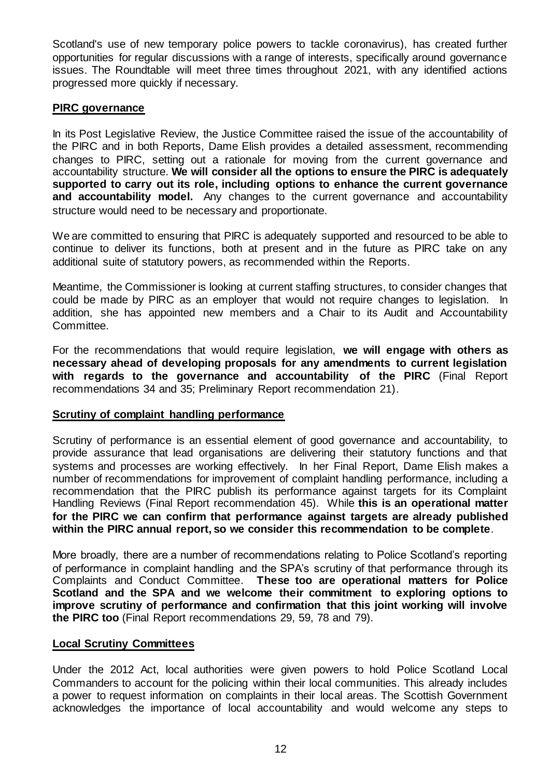Scotland's use of new temporary police powers to tackle coronavirus), has created further opportunities for regular discussions with a range of interests, specifically around governance issues. The Roundtable will meet three times throughout 2021, with any identified actions progressed more quickly if necessary.

# **PIRC governance**

In its Post Legislative Review, the Justice Committee raised the issue of the accountability of the PIRC and in both Reports, Dame Elish provides a detailed assessment, recommending changes to PIRC, setting out a rationale for moving from the current governance and accountability structure. **We will consider all the options to ensure the PIRC is adequately supported to carry out its role, including options to enhance the current governance and accountability model.** Any changes to the current governance and accountability structure would need to be necessary and proportionate.

We are committed to ensuring that PIRC is adequately supported and resourced to be able to continue to deliver its functions, both at present and in the future as PIRC take on any additional suite of statutory powers, as recommended within the Reports.

Meantime, the Commissioner is looking at current staffing structures, to consider changes that could be made by PIRC as an employer that would not require changes to legislation. In addition, she has appointed new members and a Chair to its Audit and Accountability Committee.

For the recommendations that would require legislation, **we will engage with others as necessary ahead of developing proposals for any amendments to current legislation with regards to the governance and accountability of the PIRC** (Final Report recommendations 34 and 35; Preliminary Report recommendation 21).

## **Scrutiny of complaint handling performance**

Scrutiny of performance is an essential element of good governance and accountability, to provide assurance that lead organisations are delivering their statutory functions and that systems and processes are working effectively. In her Final Report, Dame Elish makes a number of recommendations for improvement of complaint handling performance, including a recommendation that the PIRC publish its performance against targets for its Complaint Handling Reviews (Final Report recommendation 45). While **this is an operational matter for the PIRC we can confirm that performance against targets are already published within the PIRC annual report, so we consider this recommendation to be complete**.

More broadly, there are a number of recommendations relating to Police Scotland's reporting of performance in complaint handling and the SPA's scrutiny of that performance through its Complaints and Conduct Committee. **These too are operational matters for Police Scotland and the SPA and we welcome their commitment to exploring options to improve scrutiny of performance and confirmation that this joint working will involve the PIRC too** (Final Report recommendations 29, 59, 78 and 79).

## **Local Scrutiny Committees**

Under the 2012 Act, local authorities were given powers to hold Police Scotland Local Commanders to account for the policing within their local communities. This already includes a power to request information on complaints in their local areas. The Scottish Government acknowledges the importance of local accountability and would welcome any steps to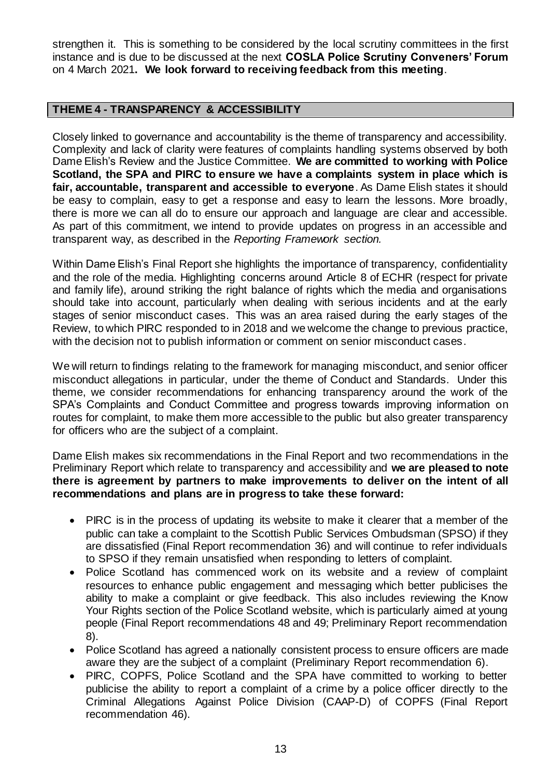strengthen it. This is something to be considered by the local scrutiny committees in the first instance and is due to be discussed at the next **COSLA Police Scrutiny Conveners' Forum**  on 4 March 2021**. We look forward to receiving feedback from this meeting**.

# **THEME 4 - TRANSPARENCY & ACCESSIBILITY**

Closely linked to governance and accountability is the theme of transparency and accessibility. Complexity and lack of clarity were features of complaints handling systems observed by both Dame Elish's Review and the Justice Committee. **We are committed to working with Police Scotland, the SPA and PIRC to ensure we have a complaints system in place which is fair, accountable, transparent and accessible to everyone**. As Dame Elish states it should be easy to complain, easy to get a response and easy to learn the lessons. More broadly, there is more we can all do to ensure our approach and language are clear and accessible. As part of this commitment, we intend to provide updates on progress in an accessible and transparent way, as described in the *Reporting Framework section.*

Within Dame Elish's Final Report she highlights the importance of transparency, confidentiality and the role of the media. Highlighting concerns around Article 8 of ECHR (respect for private and family life), around striking the right balance of rights which the media and organisations should take into account, particularly when dealing with serious incidents and at the early stages of senior misconduct cases. This was an area raised during the early stages of the Review, to which PIRC responded to in 2018 and we welcome the change to previous practice, with the decision not to publish information or comment on senior misconduct cases.

We will return to findings relating to the framework for managing misconduct, and senior officer misconduct allegations in particular, under the theme of Conduct and Standards. Under this theme, we consider recommendations for enhancing transparency around the work of the SPA's Complaints and Conduct Committee and progress towards improving information on routes for complaint, to make them more accessible to the public but also greater transparency for officers who are the subject of a complaint.

Dame Elish makes six recommendations in the Final Report and two recommendations in the Preliminary Report which relate to transparency and accessibility and **we are pleased to note there is agreement by partners to make improvements to deliver on the intent of all recommendations and plans are in progress to take these forward:**

- PIRC is in the process of updating its website to make it clearer that a member of the public can take a complaint to the Scottish Public Services Ombudsman (SPSO) if they are dissatisfied (Final Report recommendation 36) and will continue to refer individuals to SPSO if they remain unsatisfied when responding to letters of complaint.
- Police Scotland has commenced work on its website and a review of complaint resources to enhance public engagement and messaging which better publicises the ability to make a complaint or give feedback. This also includes reviewing the Know Your Rights section of the Police Scotland website, which is particularly aimed at young people (Final Report recommendations 48 and 49; Preliminary Report recommendation 8).
- Police Scotland has agreed a nationally consistent process to ensure officers are made aware they are the subject of a complaint (Preliminary Report recommendation 6).
- PIRC, COPFS, Police Scotland and the SPA have committed to working to better publicise the ability to report a complaint of a crime by a police officer directly to the Criminal Allegations Against Police Division (CAAP-D) of COPFS (Final Report recommendation 46).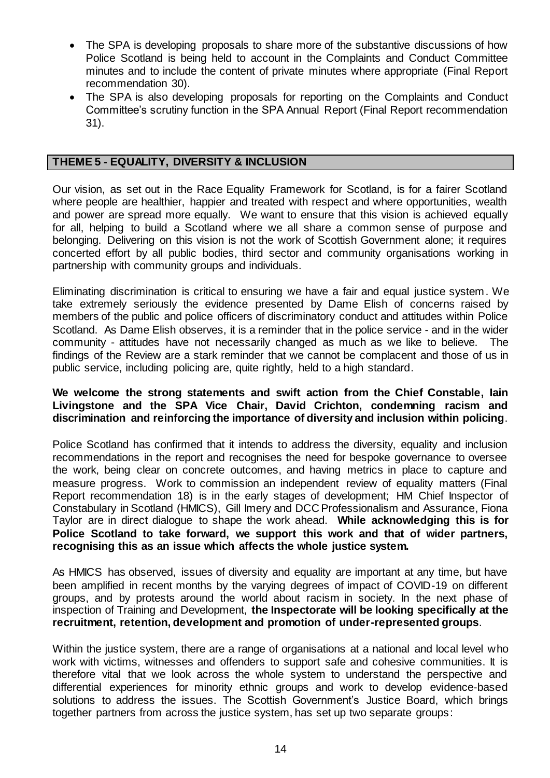- The SPA is developing proposals to share more of the substantive discussions of how Police Scotland is being held to account in the Complaints and Conduct Committee minutes and to include the content of private minutes where appropriate (Final Report recommendation 30).
- The SPA is also developing proposals for reporting on the Complaints and Conduct Committee's scrutiny function in the SPA Annual Report (Final Report recommendation 31).

### **THEME 5 - EQUALITY, DIVERSITY & INCLUSION**

Our vision, as set out in the Race Equality Framework for Scotland, is for a fairer Scotland where people are healthier, happier and treated with respect and where opportunities, wealth and power are spread more equally. We want to ensure that this vision is achieved equally for all, helping to build a Scotland where we all share a common sense of purpose and belonging. Delivering on this vision is not the work of Scottish Government alone; it requires concerted effort by all public bodies, third sector and community organisations working in partnership with community groups and individuals.

Eliminating discrimination is critical to ensuring we have a fair and equal justice system. We take extremely seriously the evidence presented by Dame Elish of concerns raised by members of the public and police officers of discriminatory conduct and attitudes within Police Scotland. As Dame Elish observes, it is a reminder that in the police service - and in the wider community - attitudes have not necessarily changed as much as we like to believe. The findings of the Review are a stark reminder that we cannot be complacent and those of us in public service, including policing are, quite rightly, held to a high standard.

#### **We welcome the strong statements and swift action from the Chief Constable, Iain Livingstone and the SPA Vice Chair, David Crichton, condemning racism and discrimination and reinforcing the importance of diversity and inclusion within policing**.

Police Scotland has confirmed that it intends to address the diversity, equality and inclusion recommendations in the report and recognises the need for bespoke governance to oversee the work, being clear on concrete outcomes, and having metrics in place to capture and measure progress. Work to commission an independent review of equality matters (Final Report recommendation 18) is in the early stages of development; HM Chief Inspector of Constabulary in Scotland (HMICS), Gill Imery and DCC Professionalism and Assurance, Fiona Taylor are in direct dialogue to shape the work ahead. **While acknowledging this is for Police Scotland to take forward, we support this work and that of wider partners, recognising this as an issue which affects the whole justice system.** 

As HMICS has observed, issues of diversity and equality are important at any time, but have been amplified in recent months by the varying degrees of impact of COVID-19 on different groups, and by protests around the world about racism in society. In the next phase of inspection of Training and Development, **the Inspectorate will be looking specifically at the recruitment, retention, development and promotion of under-represented groups**.

Within the justice system, there are a range of organisations at a national and local level who work with victims, witnesses and offenders to support safe and cohesive communities. It is therefore vital that we look across the whole system to understand the perspective and differential experiences for minority ethnic groups and work to develop evidence-based solutions to address the issues. The Scottish Government's Justice Board, which brings together partners from across the justice system, has set up two separate groups: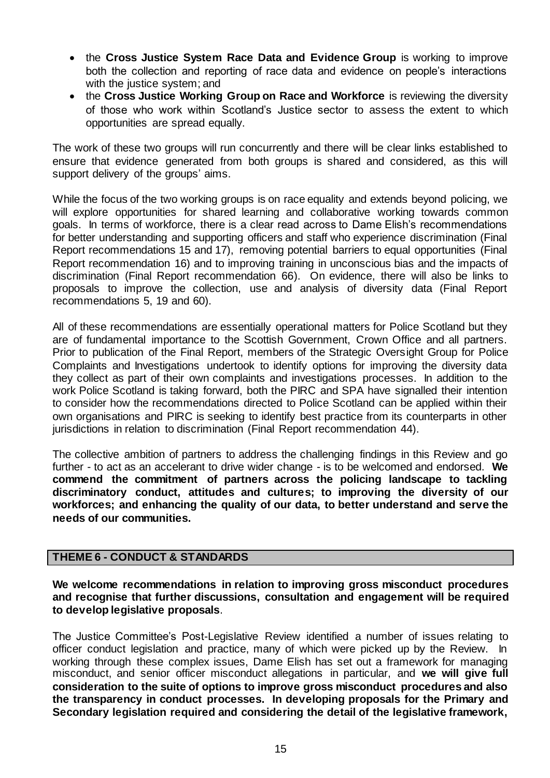- the **Cross Justice System Race Data and Evidence Group** is working to improve both the collection and reporting of race data and evidence on people's interactions with the justice system; and
- the **Cross Justice Working Group on Race and Workforce** is reviewing the diversity of those who work within Scotland's Justice sector to assess the extent to which opportunities are spread equally.

The work of these two groups will run concurrently and there will be clear links established to ensure that evidence generated from both groups is shared and considered, as this will support delivery of the groups' aims.

While the focus of the two working groups is on race equality and extends beyond policing, we will explore opportunities for shared learning and collaborative working towards common goals. In terms of workforce, there is a clear read across to Dame Elish's recommendations for better understanding and supporting officers and staff who experience discrimination (Final Report recommendations 15 and 17), removing potential barriers to equal opportunities (Final Report recommendation 16) and to improving training in unconscious bias and the impacts of discrimination (Final Report recommendation 66). On evidence, there will also be links to proposals to improve the collection, use and analysis of diversity data (Final Report recommendations 5, 19 and 60).

All of these recommendations are essentially operational matters for Police Scotland but they are of fundamental importance to the Scottish Government, Crown Office and all partners. Prior to publication of the Final Report, members of the Strategic Oversight Group for Police Complaints and Investigations undertook to identify options for improving the diversity data they collect as part of their own complaints and investigations processes. In addition to the work Police Scotland is taking forward, both the PIRC and SPA have signalled their intention to consider how the recommendations directed to Police Scotland can be applied within their own organisations and PIRC is seeking to identify best practice from its counterparts in other jurisdictions in relation to discrimination (Final Report recommendation 44).

The collective ambition of partners to address the challenging findings in this Review and go further - to act as an accelerant to drive wider change - is to be welcomed and endorsed. **We commend the commitment of partners across the policing landscape to tackling discriminatory conduct, attitudes and cultures; to improving the diversity of our workforces; and enhancing the quality of our data, to better understand and serve the needs of our communities.**

## **THEME 6 - CONDUCT & STANDARDS**

**We welcome recommendations in relation to improving gross misconduct procedures and recognise that further discussions, consultation and engagement will be required to develop legislative proposals**.

The Justice Committee's Post-Legislative Review identified a number of issues relating to officer conduct legislation and practice, many of which were picked up by the Review. In working through these complex issues, Dame Elish has set out a framework for managing misconduct, and senior officer misconduct allegations in particular, and **we will give full consideration to the suite of options to improve gross misconduct procedures and also the transparency in conduct processes. In developing proposals for the Primary and Secondary legislation required and considering the detail of the legislative framework,**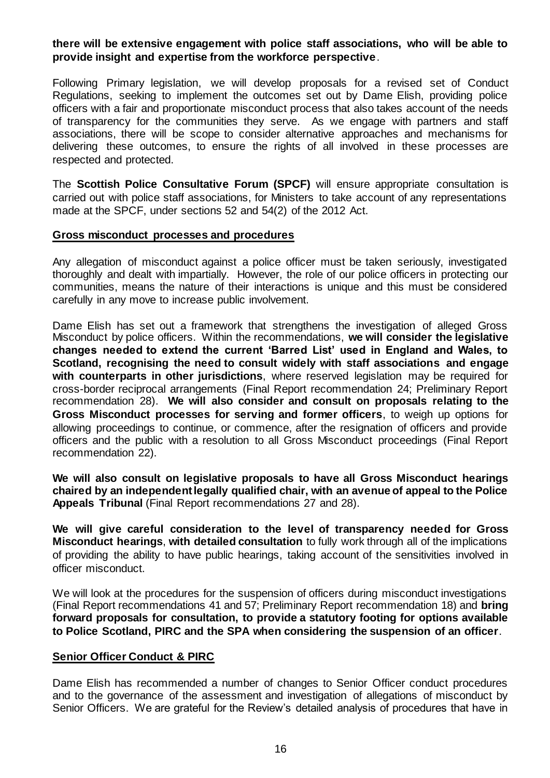# **there will be extensive engagement with police staff associations, who will be able to provide insight and expertise from the workforce perspective**.

Following Primary legislation, we will develop proposals for a revised set of Conduct Regulations, seeking to implement the outcomes set out by Dame Elish, providing police officers with a fair and proportionate misconduct process that also takes account of the needs of transparency for the communities they serve. As we engage with partners and staff associations, there will be scope to consider alternative approaches and mechanisms for delivering these outcomes, to ensure the rights of all involved in these processes are respected and protected.

The **Scottish Police Consultative Forum (SPCF)** will ensure appropriate consultation is carried out with police staff associations, for Ministers to take account of any representations made at the SPCF, under sections 52 and 54(2) of the 2012 Act.

#### **Gross misconduct processes and procedures**

Any allegation of misconduct against a police officer must be taken seriously, investigated thoroughly and dealt with impartially. However, the role of our police officers in protecting our communities, means the nature of their interactions is unique and this must be considered carefully in any move to increase public involvement.

Dame Elish has set out a framework that strengthens the investigation of alleged Gross Misconduct by police officers. Within the recommendations, **we will consider the legislative changes needed to extend the current 'Barred List' used in England and Wales, to Scotland, recognising the need to consult widely with staff associations and engage with counterparts in other jurisdictions**, where reserved legislation may be required for cross-border reciprocal arrangements (Final Report recommendation 24; Preliminary Report recommendation 28). **We will also consider and consult on proposals relating to the Gross Misconduct processes for serving and former officers**, to weigh up options for allowing proceedings to continue, or commence, after the resignation of officers and provide officers and the public with a resolution to all Gross Misconduct proceedings (Final Report recommendation 22).

**We will also consult on legislative proposals to have all Gross Misconduct hearings chaired by an independent legally qualified chair, with an avenue of appeal to the Police Appeals Tribunal** (Final Report recommendations 27 and 28).

**We will give careful consideration to the level of transparency needed for Gross Misconduct hearings**, **with detailed consultation** to fully work through all of the implications of providing the ability to have public hearings, taking account of the sensitivities involved in officer misconduct.

We will look at the procedures for the suspension of officers during misconduct investigations (Final Report recommendations 41 and 57; Preliminary Report recommendation 18) and **bring forward proposals for consultation, to provide a statutory footing for options available to Police Scotland, PIRC and the SPA when considering the suspension of an officer**.

## **Senior Officer Conduct & PIRC**

Dame Elish has recommended a number of changes to Senior Officer conduct procedures and to the governance of the assessment and investigation of allegations of misconduct by Senior Officers. We are grateful for the Review's detailed analysis of procedures that have in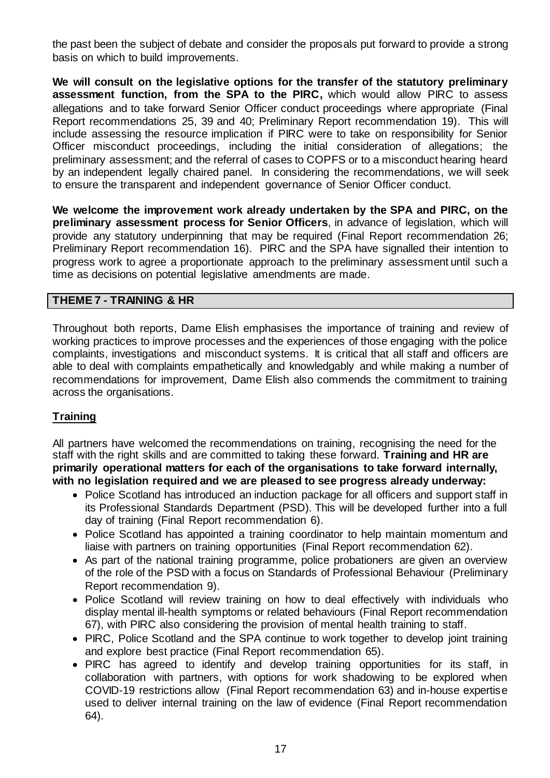the past been the subject of debate and consider the proposals put forward to provide a strong basis on which to build improvements.

**We will consult on the legislative options for the transfer of the statutory preliminary assessment function, from the SPA to the PIRC,** which would allow PIRC to assess allegations and to take forward Senior Officer conduct proceedings where appropriate (Final Report recommendations 25, 39 and 40; Preliminary Report recommendation 19). This will include assessing the resource implication if PIRC were to take on responsibility for Senior Officer misconduct proceedings, including the initial consideration of allegations; the preliminary assessment; and the referral of cases to COPFS or to a misconduct hearing heard by an independent legally chaired panel. In considering the recommendations, we will seek to ensure the transparent and independent governance of Senior Officer conduct.

**We welcome the improvement work already undertaken by the SPA and PIRC, on the preliminary assessment process for Senior Officers**, in advance of legislation, which will provide any statutory underpinning that may be required (Final Report recommendation 26; Preliminary Report recommendation 16). PIRC and the SPA have signalled their intention to progress work to agree a proportionate approach to the preliminary assessment until such a time as decisions on potential legislative amendments are made.

## **THEME 7 - TRAINING & HR**

Throughout both reports, Dame Elish emphasises the importance of training and review of working practices to improve processes and the experiences of those engaging with the police complaints, investigations and misconduct systems. It is critical that all staff and officers are able to deal with complaints empathetically and knowledgably and while making a number of recommendations for improvement, Dame Elish also commends the commitment to training across the organisations.

# **Training**

All partners have welcomed the recommendations on training, recognising the need for the staff with the right skills and are committed to taking these forward. **Training and HR are primarily operational matters for each of the organisations to take forward internally, with no legislation required and we are pleased to see progress already underway:** 

- Police Scotland has introduced an induction package for all officers and support staff in its Professional Standards Department (PSD). This will be developed further into a full day of training (Final Report recommendation 6).
- Police Scotland has appointed a training coordinator to help maintain momentum and liaise with partners on training opportunities (Final Report recommendation 62).
- As part of the national training programme, police probationers are given an overview of the role of the PSD with a focus on Standards of Professional Behaviour (Preliminary Report recommendation 9).
- Police Scotland will review training on how to deal effectively with individuals who display mental ill-health symptoms or related behaviours (Final Report recommendation 67), with PIRC also considering the provision of mental health training to staff.
- PIRC, Police Scotland and the SPA continue to work together to develop joint training and explore best practice (Final Report recommendation 65).
- PIRC has agreed to identify and develop training opportunities for its staff, in collaboration with partners, with options for work shadowing to be explored when COVID-19 restrictions allow (Final Report recommendation 63) and in-house expertise used to deliver internal training on the law of evidence (Final Report recommendation 64).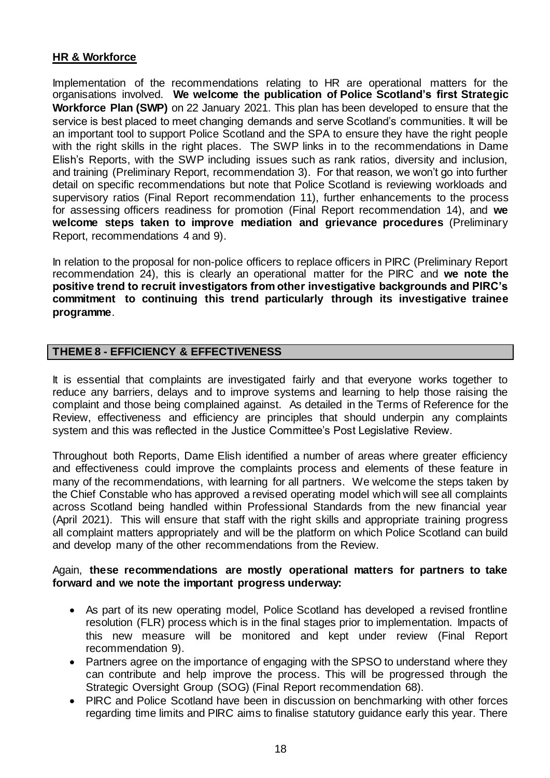# **HR & Workforce**

Implementation of the recommendations relating to HR are operational matters for the organisations involved. **We welcome the publication of Police Scotland's first Strategic Workforce Plan (SWP)** on 22 January 2021. This plan has been developed to ensure that the service is best placed to meet changing demands and serve Scotland's communities. It will be an important tool to support Police Scotland and the SPA to ensure they have the right people with the right skills in the right places. The SWP links in to the recommendations in Dame Elish's Reports, with the SWP including issues such as rank ratios, diversity and inclusion, and training (Preliminary Report, recommendation 3). For that reason, we won't go into further detail on specific recommendations but note that Police Scotland is reviewing workloads and supervisory ratios (Final Report recommendation 11), further enhancements to the process for assessing officers readiness for promotion (Final Report recommendation 14), and **we welcome steps taken to improve mediation and grievance procedures** (Preliminary Report, recommendations 4 and 9).

In relation to the proposal for non-police officers to replace officers in PIRC (Preliminary Report recommendation 24), this is clearly an operational matter for the PIRC and **we note the positive trend to recruit investigators from other investigative backgrounds and PIRC's commitment to continuing this trend particularly through its investigative trainee programme**.

## **THEME 8 - EFFICIENCY & EFFECTIVENESS**

It is essential that complaints are investigated fairly and that everyone works together to reduce any barriers, delays and to improve systems and learning to help those raising the complaint and those being complained against. As detailed in the Terms of Reference for the Review, effectiveness and efficiency are principles that should underpin any complaints system and this was reflected in the Justice Committee's Post Legislative Review.

Throughout both Reports, Dame Elish identified a number of areas where greater efficiency and effectiveness could improve the complaints process and elements of these feature in many of the recommendations, with learning for all partners. We welcome the steps taken by the Chief Constable who has approved a revised operating model which will see all complaints across Scotland being handled within Professional Standards from the new financial year (April 2021). This will ensure that staff with the right skills and appropriate training progress all complaint matters appropriately and will be the platform on which Police Scotland can build and develop many of the other recommendations from the Review.

## Again, **these recommendations are mostly operational matters for partners to take forward and we note the important progress underway:**

- As part of its new operating model, Police Scotland has developed a revised frontline resolution (FLR) process which is in the final stages prior to implementation. Impacts of this new measure will be monitored and kept under review (Final Report recommendation 9).
- Partners agree on the importance of engaging with the SPSO to understand where they can contribute and help improve the process. This will be progressed through the Strategic Oversight Group (SOG) (Final Report recommendation 68).
- PIRC and Police Scotland have been in discussion on benchmarking with other forces regarding time limits and PIRC aims to finalise statutory guidance early this year. There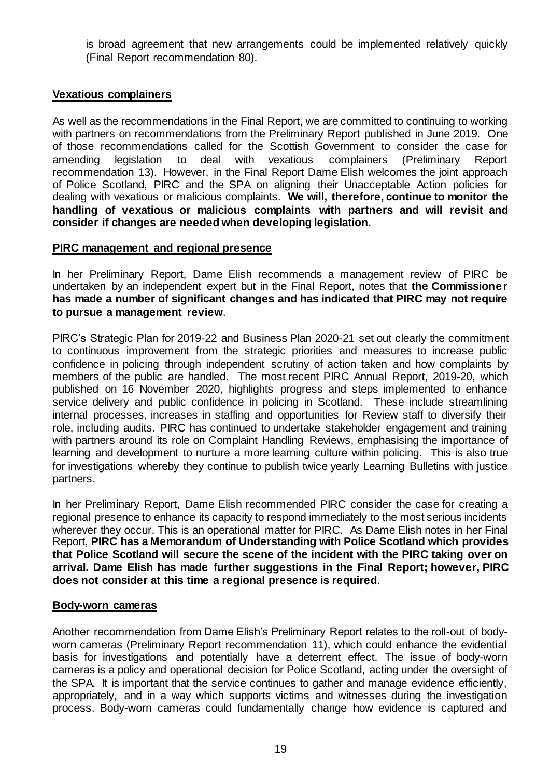is broad agreement that new arrangements could be implemented relatively quickly (Final Report recommendation 80).

# **Vexatious complainers**

As well as the recommendations in the Final Report, we are committed to continuing to working with partners on recommendations from the Preliminary Report published in June 2019. One of those recommendations called for the Scottish Government to consider the case for amending legislation to deal with vexatious complainers (Preliminary Report recommendation 13). However, in the Final Report Dame Elish welcomes the joint approach of Police Scotland, PIRC and the SPA on aligning their Unacceptable Action policies for dealing with vexatious or malicious complaints. **We will, therefore, continue to monitor the handling of vexatious or malicious complaints with partners and will revisit and consider if changes are needed when developing legislation.**

## **PIRC management and regional presence**

In her Preliminary Report, Dame Elish recommends a management review of PIRC be undertaken by an independent expert but in the Final Report, notes that **the Commissioner has made a number of significant changes and has indicated that PIRC may not require to pursue a management review**.

PIRC's Strategic Plan for 2019-22 and Business Plan 2020-21 set out clearly the commitment to continuous improvement from the strategic priorities and measures to increase public confidence in policing through independent scrutiny of action taken and how complaints by members of the public are handled. The most recent PIRC Annual Report, 2019-20, which published on 16 November 2020, highlights progress and steps implemented to enhance service delivery and public confidence in policing in Scotland. These include streamlining internal processes, increases in staffing and opportunities for Review staff to diversify their role, including audits. PIRC has continued to undertake stakeholder engagement and training with partners around its role on Complaint Handling Reviews, emphasising the importance of learning and development to nurture a more learning culture within policing. This is also true for investigations whereby they continue to publish twice yearly Learning Bulletins with justice partners.

In her Preliminary Report, Dame Elish recommended PIRC consider the case for creating a regional presence to enhance its capacity to respond immediately to the most serious incidents wherever they occur. This is an operational matter for PIRC. As Dame Elish notes in her Final Report, **PIRC has a Memorandum of Understanding with Police Scotland which provides that Police Scotland will secure the scene of the incident with the PIRC taking over on arrival. Dame Elish has made further suggestions in the Final Report; however, PIRC does not consider at this time a regional presence is required**.

## **Body-worn cameras**

Another recommendation from Dame Elish's Preliminary Report relates to the roll-out of bodyworn cameras (Preliminary Report recommendation 11), which could enhance the evidential basis for investigations and potentially have a deterrent effect. The issue of body-worn cameras is a policy and operational decision for Police Scotland, acting under the oversight of the SPA. It is important that the service continues to gather and manage evidence efficiently, appropriately, and in a way which supports victims and witnesses during the investigation process. Body-worn cameras could fundamentally change how evidence is captured and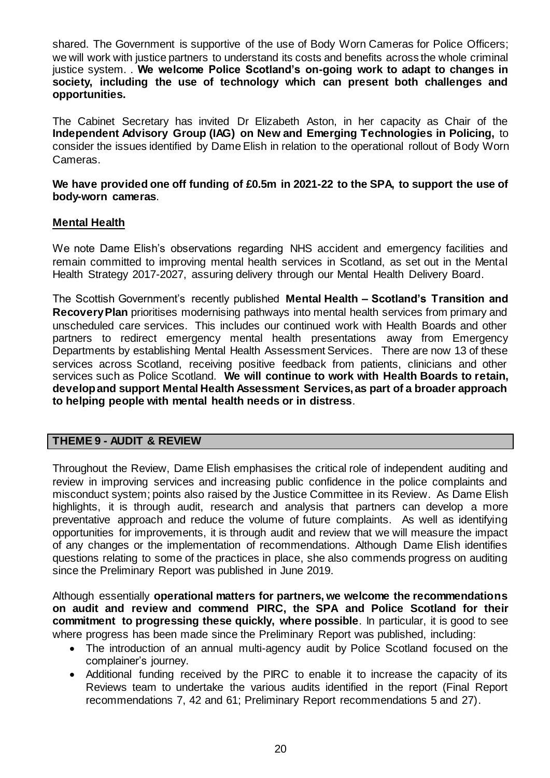shared. The Government is supportive of the use of Body Worn Cameras for Police Officers; we will work with justice partners to understand its costs and benefits across the whole criminal justice system. . **We welcome Police Scotland's on-going work to adapt to changes in society, including the use of technology which can present both challenges and opportunities.**

The Cabinet Secretary has invited Dr Elizabeth Aston, in her capacity as Chair of the **Independent Advisory Group (IAG) on New and Emerging Technologies in Policing,** to consider the issues identified by Dame Elish in relation to the operational rollout of Body Worn Cameras.

**We have provided one off funding of £0.5m in 2021-22 to the SPA, to support the use of body-worn cameras**.

## **Mental Health**

We note Dame Elish's observations regarding NHS accident and emergency facilities and remain committed to improving mental health services in Scotland, as set out in the Mental Health Strategy 2017-2027, assuring delivery through our Mental Health Delivery Board.

The Scottish Government's recently published **Mental Health – Scotland's Transition and Recovery Plan** prioritises modernising pathways into mental health services from primary and unscheduled care services. This includes our continued work with Health Boards and other partners to redirect emergency mental health presentations away from Emergency Departments by establishing Mental Health Assessment Services. There are now 13 of these services across Scotland, receiving positive feedback from patients, clinicians and other services such as Police Scotland. **We will continue to work with Health Boards to retain, develop and support Mental Health Assessment Services, as part of a broader approach to helping people with mental health needs or in distress**.

#### **THEME 9 - AUDIT & REVIEW**

Throughout the Review, Dame Elish emphasises the critical role of independent auditing and review in improving services and increasing public confidence in the police complaints and misconduct system; points also raised by the Justice Committee in its Review. As Dame Elish highlights, it is through audit, research and analysis that partners can develop a more preventative approach and reduce the volume of future complaints. As well as identifying opportunities for improvements, it is through audit and review that we will measure the impact of any changes or the implementation of recommendations. Although Dame Elish identifies questions relating to some of the practices in place, she also commends progress on auditing since the Preliminary Report was published in June 2019.

Although essentially **operational matters for partners, we welcome the recommendations on audit and review and commend PIRC, the SPA and Police Scotland for their commitment to progressing these quickly, where possible**. In particular, it is good to see where progress has been made since the Preliminary Report was published, including:

- The introduction of an annual multi-agency audit by Police Scotland focused on the complainer's journey.
- Additional funding received by the PIRC to enable it to increase the capacity of its Reviews team to undertake the various audits identified in the report (Final Report recommendations 7, 42 and 61; Preliminary Report recommendations 5 and 27).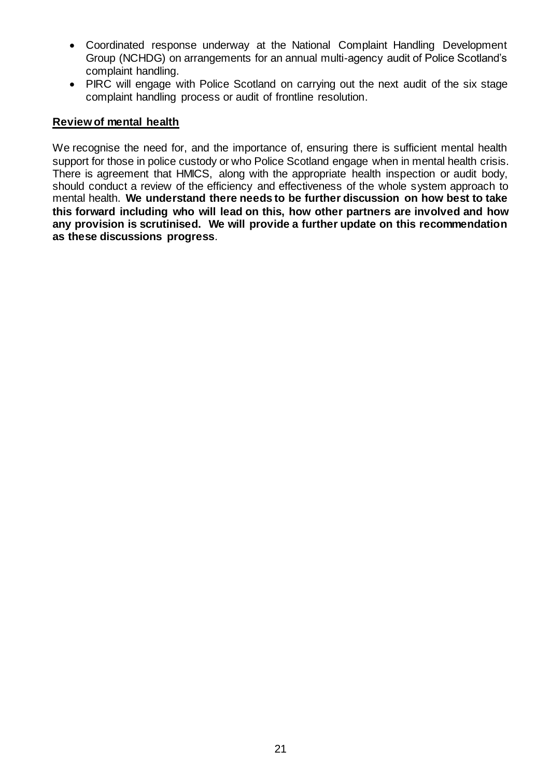- Coordinated response underway at the National Complaint Handling Development Group (NCHDG) on arrangements for an annual multi-agency audit of Police Scotland's complaint handling.
- PIRC will engage with Police Scotland on carrying out the next audit of the six stage complaint handling process or audit of frontline resolution.

#### **Review of mental health**

We recognise the need for, and the importance of, ensuring there is sufficient mental health support for those in police custody or who Police Scotland engage when in mental health crisis. There is agreement that HMICS, along with the appropriate health inspection or audit body, should conduct a review of the efficiency and effectiveness of the whole system approach to mental health. **We understand there needs to be further discussion on how best to take this forward including who will lead on this, how other partners are involved and how any provision is scrutinised. We will provide a further update on this recommendation as these discussions progress**.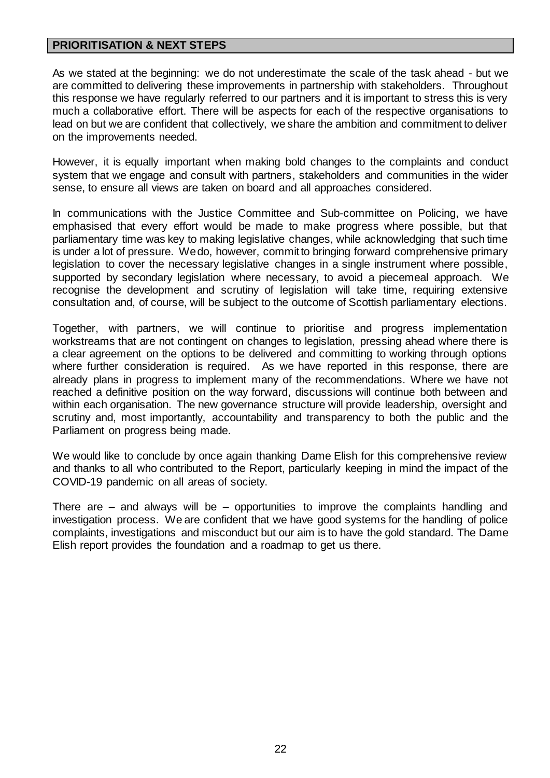# **PRIORITISATION & NEXT STEPS**

As we stated at the beginning: we do not underestimate the scale of the task ahead - but we are committed to delivering these improvements in partnership with stakeholders. Throughout this response we have regularly referred to our partners and it is important to stress this is very much a collaborative effort. There will be aspects for each of the respective organisations to lead on but we are confident that collectively, we share the ambition and commitment to deliver on the improvements needed.

However, it is equally important when making bold changes to the complaints and conduct system that we engage and consult with partners, stakeholders and communities in the wider sense, to ensure all views are taken on board and all approaches considered.

In communications with the Justice Committee and Sub-committee on Policing, we have emphasised that every effort would be made to make progress where possible, but that parliamentary time was key to making legislative changes, while acknowledging that such time is under a lot of pressure. We do, however, commit to bringing forward comprehensive primary legislation to cover the necessary legislative changes in a single instrument where possible, supported by secondary legislation where necessary, to avoid a piecemeal approach. We recognise the development and scrutiny of legislation will take time, requiring extensive consultation and, of course, will be subject to the outcome of Scottish parliamentary elections.

Together, with partners, we will continue to prioritise and progress implementation workstreams that are not contingent on changes to legislation, pressing ahead where there is a clear agreement on the options to be delivered and committing to working through options where further consideration is required. As we have reported in this response, there are already plans in progress to implement many of the recommendations. Where we have not reached a definitive position on the way forward, discussions will continue both between and within each organisation. The new governance structure will provide leadership, oversight and scrutiny and, most importantly, accountability and transparency to both the public and the Parliament on progress being made.

We would like to conclude by once again thanking Dame Elish for this comprehensive review and thanks to all who contributed to the Report, particularly keeping in mind the impact of the COVID-19 pandemic on all areas of society.

There are  $-$  and always will be  $-$  opportunities to improve the complaints handling and investigation process. We are confident that we have good systems for the handling of police complaints, investigations and misconduct but our aim is to have the gold standard. The Dame Elish report provides the foundation and a roadmap to get us there.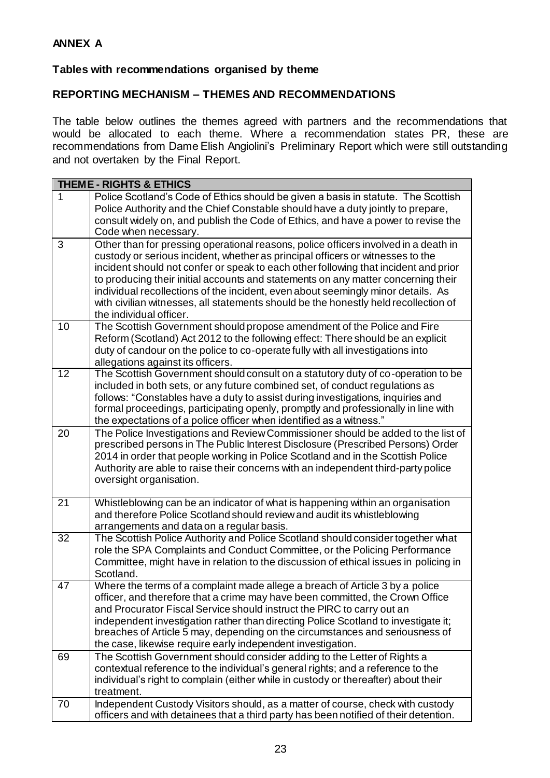# **Tables with recommendations organised by theme**

#### **REPORTING MECHANISM – THEMES AND RECOMMENDATIONS**

The table below outlines the themes agreed with partners and the recommendations that would be allocated to each theme. Where a recommendation states PR, these are recommendations from Dame Elish Angiolini's Preliminary Report which were still outstanding and not overtaken by the Final Report.

| <b>THEME - RIGHTS &amp; ETHICS</b> |                                                                                                                                                                                                                                                                                                                                                                                                                                                                                                                                                         |  |
|------------------------------------|---------------------------------------------------------------------------------------------------------------------------------------------------------------------------------------------------------------------------------------------------------------------------------------------------------------------------------------------------------------------------------------------------------------------------------------------------------------------------------------------------------------------------------------------------------|--|
| $\mathbf 1$                        | Police Scotland's Code of Ethics should be given a basis in statute. The Scottish<br>Police Authority and the Chief Constable should have a duty jointly to prepare,<br>consult widely on, and publish the Code of Ethics, and have a power to revise the<br>Code when necessary.                                                                                                                                                                                                                                                                       |  |
| 3                                  | Other than for pressing operational reasons, police officers involved in a death in<br>custody or serious incident, whether as principal officers or witnesses to the<br>incident should not confer or speak to each other following that incident and prior<br>to producing their initial accounts and statements on any matter concerning their<br>individual recollections of the incident, even about seemingly minor details. As<br>with civilian witnesses, all statements should be the honestly held recollection of<br>the individual officer. |  |
| 10                                 | The Scottish Government should propose amendment of the Police and Fire<br>Reform (Scotland) Act 2012 to the following effect: There should be an explicit<br>duty of candour on the police to co-operate fully with all investigations into<br>allegations against its officers.                                                                                                                                                                                                                                                                       |  |
| $\overline{12}$                    | The Scottish Government should consult on a statutory duty of co-operation to be<br>included in both sets, or any future combined set, of conduct regulations as<br>follows: "Constables have a duty to assist during investigations, inquiries and<br>formal proceedings, participating openly, promptly and professionally in line with<br>the expectations of a police officer when identified as a witness."                                                                                                                                        |  |
| 20                                 | The Police Investigations and Review Commissioner should be added to the list of<br>prescribed persons in The Public Interest Disclosure (Prescribed Persons) Order<br>2014 in order that people working in Police Scotland and in the Scottish Police<br>Authority are able to raise their concerns with an independent third-party police<br>oversight organisation.                                                                                                                                                                                  |  |
| 21                                 | Whistleblowing can be an indicator of what is happening within an organisation<br>and therefore Police Scotland should review and audit its whistleblowing<br>arrangements and data on a regular basis.                                                                                                                                                                                                                                                                                                                                                 |  |
| 32                                 | The Scottish Police Authority and Police Scotland should consider together what<br>role the SPA Complaints and Conduct Committee, or the Policing Performance<br>Committee, might have in relation to the discussion of ethical issues in policing in<br>Scotland.                                                                                                                                                                                                                                                                                      |  |
| 47                                 | Where the terms of a complaint made allege a breach of Article 3 by a police<br>officer, and therefore that a crime may have been committed, the Crown Office<br>and Procurator Fiscal Service should instruct the PIRC to carry out an<br>independent investigation rather than directing Police Scotland to investigate it;<br>breaches of Article 5 may, depending on the circumstances and seriousness of<br>the case, likewise require early independent investigation.                                                                            |  |
| 69                                 | The Scottish Government should consider adding to the Letter of Rights a<br>contextual reference to the individual's general rights; and a reference to the<br>individual's right to complain (either while in custody or thereafter) about their<br>treatment.                                                                                                                                                                                                                                                                                         |  |
| 70                                 | Independent Custody Visitors should, as a matter of course, check with custody<br>officers and with detainees that a third party has been notified of their detention.                                                                                                                                                                                                                                                                                                                                                                                  |  |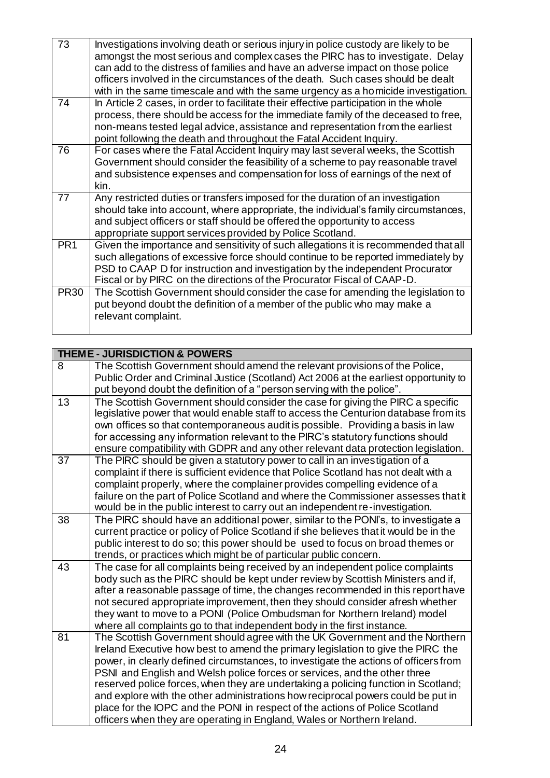| 73              | Investigations involving death or serious injury in police custody are likely to be<br>amongst the most serious and complex cases the PIRC has to investigate. Delay<br>can add to the distress of families and have an adverse impact on those police<br>officers involved in the circumstances of the death. Such cases should be dealt<br>with in the same timescale and with the same urgency as a homicide investigation. |
|-----------------|--------------------------------------------------------------------------------------------------------------------------------------------------------------------------------------------------------------------------------------------------------------------------------------------------------------------------------------------------------------------------------------------------------------------------------|
| 74              | In Article 2 cases, in order to facilitate their effective participation in the whole<br>process, there should be access for the immediate family of the deceased to free,<br>non-means tested legal advice, assistance and representation from the earliest<br>point following the death and throughout the Fatal Accident Inquiry.                                                                                           |
| 76              | For cases where the Fatal Accident Inquiry may last several weeks, the Scottish<br>Government should consider the feasibility of a scheme to pay reasonable travel<br>and subsistence expenses and compensation for loss of earnings of the next of<br>kin.                                                                                                                                                                    |
| 77              | Any restricted duties or transfers imposed for the duration of an investigation<br>should take into account, where appropriate, the individual's family circumstances,<br>and subject officers or staff should be offered the opportunity to access<br>appropriate support services provided by Police Scotland.                                                                                                               |
| PR <sub>1</sub> | Given the importance and sensitivity of such allegations it is recommended that all<br>such allegations of excessive force should continue to be reported immediately by<br>PSD to CAAP D for instruction and investigation by the independent Procurator<br>Fiscal or by PIRC on the directions of the Procurator Fiscal of CAAP-D.                                                                                           |
| <b>PR30</b>     | The Scottish Government should consider the case for amending the legislation to<br>put beyond doubt the definition of a member of the public who may make a<br>relevant complaint.                                                                                                                                                                                                                                            |

|                 | <b>THEME - JURISDICTION &amp; POWERS</b>                                                                                                                           |
|-----------------|--------------------------------------------------------------------------------------------------------------------------------------------------------------------|
| 8               | The Scottish Government should amend the relevant provisions of the Police,                                                                                        |
|                 | Public Order and Criminal Justice (Scotland) Act 2006 at the earliest opportunity to                                                                               |
|                 | put beyond doubt the definition of a "person serving with the police".                                                                                             |
| 13              | The Scottish Government should consider the case for giving the PIRC a specific                                                                                    |
|                 | legislative power that would enable staff to access the Centurion database from its                                                                                |
|                 | own offices so that contemporaneous audit is possible. Providing a basis in law                                                                                    |
|                 | for accessing any information relevant to the PIRC's statutory functions should                                                                                    |
| $\overline{37}$ | ensure compatibility with GDPR and any other relevant data protection legislation.                                                                                 |
|                 | The PIRC should be given a statutory power to call in an investigation of a<br>complaint if there is sufficient evidence that Police Scotland has not dealt with a |
|                 | complaint properly, where the complainer provides compelling evidence of a                                                                                         |
|                 | failure on the part of Police Scotland and where the Commissioner assesses that it                                                                                 |
|                 | would be in the public interest to carry out an independent re-investigation.                                                                                      |
| 38              | The PIRC should have an additional power, similar to the PONI's, to investigate a                                                                                  |
|                 | current practice or policy of Police Scotland if she believes that it would be in the                                                                              |
|                 | public interest to do so; this power should be used to focus on broad themes or                                                                                    |
|                 | trends, or practices which might be of particular public concern.                                                                                                  |
| 43              | The case for all complaints being received by an independent police complaints                                                                                     |
|                 | body such as the PIRC should be kept under review by Scottish Ministers and if,                                                                                    |
|                 | after a reasonable passage of time, the changes recommended in this report have                                                                                    |
|                 | not secured appropriate improvement, then they should consider afresh whether                                                                                      |
|                 | they want to move to a PONI (Police Ombudsman for Northern Ireland) model                                                                                          |
| 81              | where all complaints go to that independent body in the first instance.                                                                                            |
|                 | The Scottish Government should agree with the UK Government and the Northern<br>Ireland Executive how best to amend the primary legislation to give the PIRC the   |
|                 | power, in clearly defined circumstances, to investigate the actions of officers from                                                                               |
|                 | PSNI and English and Welsh police forces or services, and the other three                                                                                          |
|                 | reserved police forces, when they are undertaking a policing function in Scotland;                                                                                 |
|                 | and explore with the other administrations how reciprocal powers could be put in                                                                                   |
|                 | place for the IOPC and the PONI in respect of the actions of Police Scotland                                                                                       |
|                 | officers when they are operating in England, Wales or Northern Ireland.                                                                                            |
|                 |                                                                                                                                                                    |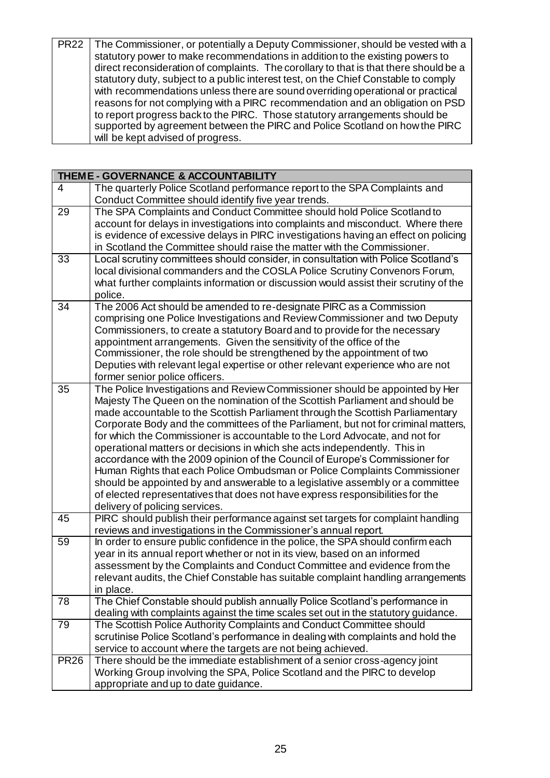| PR22   The Commissioner, or potentially a Deputy Commissioner, should be vested with a |
|----------------------------------------------------------------------------------------|
| statutory power to make recommendations in addition to the existing powers to          |
| direct reconsideration of complaints. The corollary to that is that there should be a  |
| statutory duty, subject to a public interest test, on the Chief Constable to comply    |
| with recommendations unless there are sound overriding operational or practical        |
| reasons for not complying with a PIRC recommendation and an obligation on PSD          |
| to report progress back to the PIRC. Those statutory arrangements should be            |
| supported by agreement between the PIRC and Police Scotland on how the PIRC            |
| will be kept advised of progress.                                                      |

|                | THEME - GOVERNANCE & ACCOUNTABILITY                                                                                                                                                                                                                                                                                                                                                                                                                                                                                                                                                                                                                                                                                                                                                                                                                                 |
|----------------|---------------------------------------------------------------------------------------------------------------------------------------------------------------------------------------------------------------------------------------------------------------------------------------------------------------------------------------------------------------------------------------------------------------------------------------------------------------------------------------------------------------------------------------------------------------------------------------------------------------------------------------------------------------------------------------------------------------------------------------------------------------------------------------------------------------------------------------------------------------------|
| $\overline{4}$ | The quarterly Police Scotland performance report to the SPA Complaints and<br>Conduct Committee should identify five year trends.                                                                                                                                                                                                                                                                                                                                                                                                                                                                                                                                                                                                                                                                                                                                   |
| 29             | The SPA Complaints and Conduct Committee should hold Police Scotland to<br>account for delays in investigations into complaints and misconduct. Where there<br>is evidence of excessive delays in PIRC investigations having an effect on policing<br>in Scotland the Committee should raise the matter with the Commissioner.                                                                                                                                                                                                                                                                                                                                                                                                                                                                                                                                      |
| 33             | Local scrutiny committees should consider, in consultation with Police Scotland's<br>local divisional commanders and the COSLA Police Scrutiny Convenors Forum,<br>what further complaints information or discussion would assist their scrutiny of the<br>police.                                                                                                                                                                                                                                                                                                                                                                                                                                                                                                                                                                                                  |
| 34             | The 2006 Act should be amended to re-designate PIRC as a Commission<br>comprising one Police Investigations and Review Commissioner and two Deputy<br>Commissioners, to create a statutory Board and to provide for the necessary<br>appointment arrangements. Given the sensitivity of the office of the<br>Commissioner, the role should be strengthened by the appointment of two<br>Deputies with relevant legal expertise or other relevant experience who are not<br>former senior police officers.                                                                                                                                                                                                                                                                                                                                                           |
| 35             | The Police Investigations and Review Commissioner should be appointed by Her<br>Majesty The Queen on the nomination of the Scottish Parliament and should be<br>made accountable to the Scottish Parliament through the Scottish Parliamentary<br>Corporate Body and the committees of the Parliament, but not for criminal matters,<br>for which the Commissioner is accountable to the Lord Advocate, and not for<br>operational matters or decisions in which she acts independently. This in<br>accordance with the 2009 opinion of the Council of Europe's Commissioner for<br>Human Rights that each Police Ombudsman or Police Complaints Commissioner<br>should be appointed by and answerable to a legislative assembly or a committee<br>of elected representatives that does not have express responsibilities for the<br>delivery of policing services. |
| 45             | PIRC should publish their performance against set targets for complaint handling<br>reviews and investigations in the Commissioner's annual report.                                                                                                                                                                                                                                                                                                                                                                                                                                                                                                                                                                                                                                                                                                                 |
| 59             | In order to ensure public confidence in the police, the SPA should confirm each<br>year in its annual report whether or not in its view, based on an informed<br>assessment by the Complaints and Conduct Committee and evidence from the<br>relevant audits, the Chief Constable has suitable complaint handling arrangements<br>in place.                                                                                                                                                                                                                                                                                                                                                                                                                                                                                                                         |
| 78             | The Chief Constable should publish annually Police Scotland's performance in<br>dealing with complaints against the time scales set out in the statutory guidance.                                                                                                                                                                                                                                                                                                                                                                                                                                                                                                                                                                                                                                                                                                  |
| 79             | The Scottish Police Authority Complaints and Conduct Committee should<br>scrutinise Police Scotland's performance in dealing with complaints and hold the<br>service to account where the targets are not being achieved.                                                                                                                                                                                                                                                                                                                                                                                                                                                                                                                                                                                                                                           |
| <b>PR26</b>    | There should be the immediate establishment of a senior cross-agency joint<br>Working Group involving the SPA, Police Scotland and the PIRC to develop<br>appropriate and up to date guidance.                                                                                                                                                                                                                                                                                                                                                                                                                                                                                                                                                                                                                                                                      |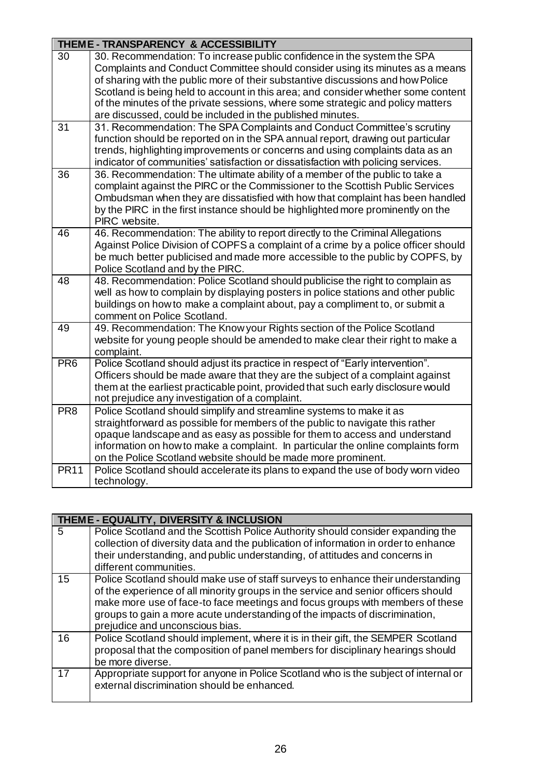|                 | THEME - TRANSPARENCY & ACCESSIBILITY                                                                                                  |  |
|-----------------|---------------------------------------------------------------------------------------------------------------------------------------|--|
| $\overline{30}$ | 30. Recommendation: To increase public confidence in the system the SPA                                                               |  |
|                 | Complaints and Conduct Committee should consider using its minutes as a means                                                         |  |
|                 | of sharing with the public more of their substantive discussions and how Police                                                       |  |
|                 | Scotland is being held to account in this area; and consider whether some content                                                     |  |
|                 | of the minutes of the private sessions, where some strategic and policy matters                                                       |  |
| 31              | are discussed, could be included in the published minutes.<br>31. Recommendation: The SPA Complaints and Conduct Committee's scrutiny |  |
|                 | function should be reported on in the SPA annual report, drawing out particular                                                       |  |
|                 | trends, highlighting improvements or concerns and using complaints data as an                                                         |  |
|                 | indicator of communities' satisfaction or dissatisfaction with policing services.                                                     |  |
| 36              | 36. Recommendation: The ultimate ability of a member of the public to take a                                                          |  |
|                 | complaint against the PIRC or the Commissioner to the Scottish Public Services                                                        |  |
|                 | Ombudsman when they are dissatisfied with how that complaint has been handled                                                         |  |
|                 | by the PIRC in the first instance should be highlighted more prominently on the                                                       |  |
|                 | PIRC website.                                                                                                                         |  |
| 46              | 46. Recommendation: The ability to report directly to the Criminal Allegations                                                        |  |
|                 | Against Police Division of COPFS a complaint of a crime by a police officer should                                                    |  |
|                 | be much better publicised and made more accessible to the public by COPFS, by                                                         |  |
| $\overline{48}$ | Police Scotland and by the PIRC.<br>48. Recommendation: Police Scotland should publicise the right to complain as                     |  |
|                 | well as how to complain by displaying posters in police stations and other public                                                     |  |
|                 | buildings on how to make a complaint about, pay a compliment to, or submit a                                                          |  |
|                 | comment on Police Scotland.                                                                                                           |  |
| 49              | 49. Recommendation: The Know your Rights section of the Police Scotland                                                               |  |
|                 | website for young people should be amended to make clear their right to make a                                                        |  |
|                 | complaint.                                                                                                                            |  |
| PR <sub>6</sub> | Police Scotland should adjust its practice in respect of "Early intervention".                                                        |  |
|                 | Officers should be made aware that they are the subject of a complaint against                                                        |  |
|                 | them at the earliest practicable point, provided that such early disclosure would<br>not prejudice any investigation of a complaint.  |  |
| PR <sub>8</sub> | Police Scotland should simplify and streamline systems to make it as                                                                  |  |
|                 | straightforward as possible for members of the public to navigate this rather                                                         |  |
|                 | opaque landscape and as easy as possible for them to access and understand                                                            |  |
|                 | information on how to make a complaint. In particular the online complaints form                                                      |  |
|                 | on the Police Scotland website should be made more prominent.                                                                         |  |
| <b>PR11</b>     | Police Scotland should accelerate its plans to expand the use of body worn video                                                      |  |
|                 | technology.                                                                                                                           |  |

|    | THEME - EQUALITY, DIVERSITY & INCLUSION                                                                                                                                                                                                                                                                                                                                  |
|----|--------------------------------------------------------------------------------------------------------------------------------------------------------------------------------------------------------------------------------------------------------------------------------------------------------------------------------------------------------------------------|
| 5  | Police Scotland and the Scottish Police Authority should consider expanding the<br>collection of diversity data and the publication of information in order to enhance<br>their understanding, and public understanding, of attitudes and concerns in<br>different communities.                                                                                          |
| 15 | Police Scotland should make use of staff surveys to enhance their understanding<br>of the experience of all minority groups in the service and senior officers should<br>make more use of face-to face meetings and focus groups with members of these<br>groups to gain a more acute understanding of the impacts of discrimination,<br>prejudice and unconscious bias. |
| 16 | Police Scotland should implement, where it is in their gift, the SEMPER Scotland<br>proposal that the composition of panel members for disciplinary hearings should<br>be more diverse.                                                                                                                                                                                  |
| 17 | Appropriate support for anyone in Police Scotland who is the subject of internal or<br>external discrimination should be enhanced.                                                                                                                                                                                                                                       |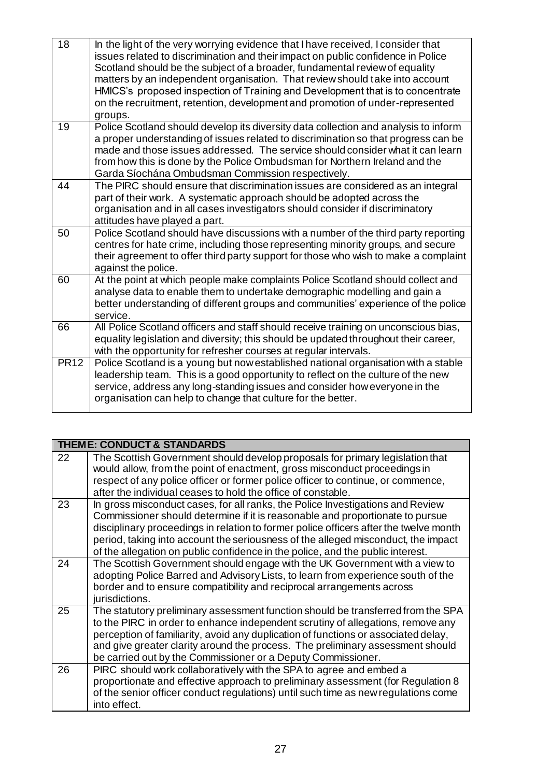| 18              | In the light of the very worrying evidence that I have received, I consider that<br>issues related to discrimination and their impact on public confidence in Police<br>Scotland should be the subject of a broader, fundamental review of equality<br>matters by an independent organisation. That review should take into account<br>HMICS's proposed inspection of Training and Development that is to concentrate<br>on the recruitment, retention, development and promotion of under-represented<br>groups. |
|-----------------|-------------------------------------------------------------------------------------------------------------------------------------------------------------------------------------------------------------------------------------------------------------------------------------------------------------------------------------------------------------------------------------------------------------------------------------------------------------------------------------------------------------------|
| $\overline{19}$ | Police Scotland should develop its diversity data collection and analysis to inform<br>a proper understanding of issues related to discrimination so that progress can be<br>made and those issues addressed. The service should consider what it can learn<br>from how this is done by the Police Ombudsman for Northern Ireland and the<br>Garda Síochána Ombudsman Commission respectively.                                                                                                                    |
| 44              | The PIRC should ensure that discrimination issues are considered as an integral<br>part of their work. A systematic approach should be adopted across the<br>organisation and in all cases investigators should consider if discriminatory<br>attitudes have played a part.                                                                                                                                                                                                                                       |
| 50              | Police Scotland should have discussions with a number of the third party reporting<br>centres for hate crime, including those representing minority groups, and secure<br>their agreement to offer third party support for those who wish to make a complaint<br>against the police.                                                                                                                                                                                                                              |
| 60              | At the point at which people make complaints Police Scotland should collect and<br>analyse data to enable them to undertake demographic modelling and gain a<br>better understanding of different groups and communities' experience of the police<br>service.                                                                                                                                                                                                                                                    |
| 66              | All Police Scotland officers and staff should receive training on unconscious bias,<br>equality legislation and diversity; this should be updated throughout their career,<br>with the opportunity for refresher courses at regular intervals.                                                                                                                                                                                                                                                                    |
| <b>PR12</b>     | Police Scotland is a young but now established national organisation with a stable<br>leadership team. This is a good opportunity to reflect on the culture of the new<br>service, address any long-standing issues and consider how everyone in the<br>organisation can help to change that culture for the better.                                                                                                                                                                                              |
|                 |                                                                                                                                                                                                                                                                                                                                                                                                                                                                                                                   |

|    | <b>THEME: CONDUCT &amp; STANDARDS</b>                                                                                                                                                                                                                                                                                                                                                                                           |
|----|---------------------------------------------------------------------------------------------------------------------------------------------------------------------------------------------------------------------------------------------------------------------------------------------------------------------------------------------------------------------------------------------------------------------------------|
| 22 | The Scottish Government should develop proposals for primary legislation that<br>would allow, from the point of enactment, gross misconduct proceedings in<br>respect of any police officer or former police officer to continue, or commence,<br>after the individual ceases to hold the office of constable.                                                                                                                  |
| 23 | In gross misconduct cases, for all ranks, the Police Investigations and Review<br>Commissioner should determine if it is reasonable and proportionate to pursue<br>disciplinary proceedings in relation to former police officers after the twelve month<br>period, taking into account the seriousness of the alleged misconduct, the impact<br>of the allegation on public confidence in the police, and the public interest. |
| 24 | The Scottish Government should engage with the UK Government with a view to<br>adopting Police Barred and Advisory Lists, to learn from experience south of the<br>border and to ensure compatibility and reciprocal arrangements across<br>jurisdictions.                                                                                                                                                                      |
| 25 | The statutory preliminary assessment function should be transferred from the SPA<br>to the PIRC in order to enhance independent scrutiny of allegations, remove any<br>perception of familiarity, avoid any duplication of functions or associated delay,<br>and give greater clarity around the process. The preliminary assessment should<br>be carried out by the Commissioner or a Deputy Commissioner.                     |
| 26 | PIRC should work collaboratively with the SPA to agree and embed a<br>proportionate and effective approach to preliminary assessment (for Regulation 8<br>of the senior officer conduct regulations) until such time as new regulations come<br>into effect.                                                                                                                                                                    |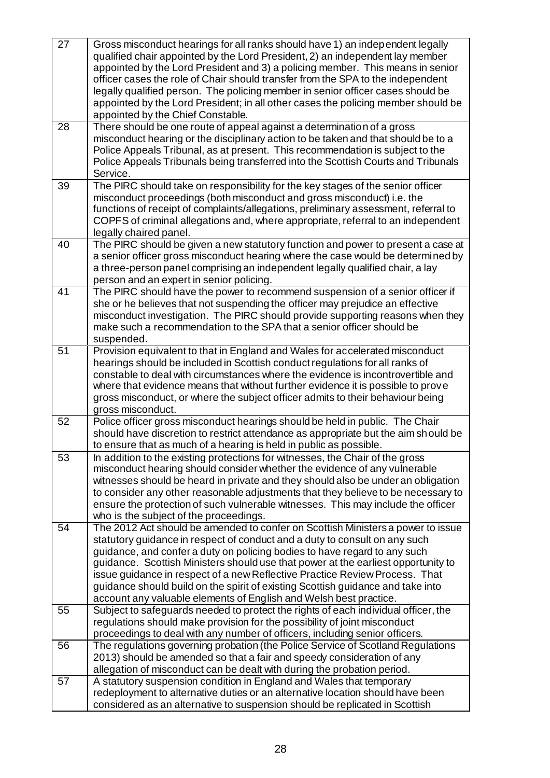| $\overline{27}$ | Gross misconduct hearings for all ranks should have 1) an independent legally<br>qualified chair appointed by the Lord President, 2) an independent lay member<br>appointed by the Lord President and 3) a policing member. This means in senior<br>officer cases the role of Chair should transfer from the SPA to the independent<br>legally qualified person. The policing member in senior officer cases should be<br>appointed by the Lord President; in all other cases the policing member should be<br>appointed by the Chief Constable.                       |
|-----------------|------------------------------------------------------------------------------------------------------------------------------------------------------------------------------------------------------------------------------------------------------------------------------------------------------------------------------------------------------------------------------------------------------------------------------------------------------------------------------------------------------------------------------------------------------------------------|
| 28              | There should be one route of appeal against a determination of a gross<br>misconduct hearing or the disciplinary action to be taken and that should be to a<br>Police Appeals Tribunal, as at present. This recommendation is subject to the<br>Police Appeals Tribunals being transferred into the Scottish Courts and Tribunals<br>Service.                                                                                                                                                                                                                          |
| 39              | The PIRC should take on responsibility for the key stages of the senior officer<br>misconduct proceedings (both misconduct and gross misconduct) i.e. the<br>functions of receipt of complaints/allegations, preliminary assessment, referral to<br>COPFS of criminal allegations and, where appropriate, referral to an independent<br>legally chaired panel.                                                                                                                                                                                                         |
| 40              | The PIRC should be given a new statutory function and power to present a case at<br>a senior officer gross misconduct hearing where the case would be determined by<br>a three-person panel comprising an independent legally qualified chair, a lay<br>person and an expert in senior policing.                                                                                                                                                                                                                                                                       |
| 41              | The PIRC should have the power to recommend suspension of a senior officer if<br>she or he believes that not suspending the officer may prejudice an effective<br>misconduct investigation. The PIRC should provide supporting reasons when they<br>make such a recommendation to the SPA that a senior officer should be<br>suspended.                                                                                                                                                                                                                                |
| $\overline{51}$ | Provision equivalent to that in England and Wales for accelerated misconduct<br>hearings should be included in Scottish conduct regulations for all ranks of<br>constable to deal with circumstances where the evidence is incontrovertible and<br>where that evidence means that without further evidence it is possible to prove<br>gross misconduct, or where the subject officer admits to their behaviour being<br>gross misconduct.                                                                                                                              |
| $\overline{52}$ | Police officer gross misconduct hearings should be held in public. The Chair<br>should have discretion to restrict attendance as appropriate but the aim should be<br>to ensure that as much of a hearing is held in public as possible.                                                                                                                                                                                                                                                                                                                               |
| 53              | In addition to the existing protections for witnesses, the Chair of the gross<br>misconduct hearing should consider whether the evidence of any vulnerable<br>witnesses should be heard in private and they should also be under an obligation<br>to consider any other reasonable adjustments that they believe to be necessary to<br>ensure the protection of such vulnerable witnesses. This may include the officer<br>who is the subject of the proceedings.                                                                                                      |
| 54              | The 2012 Act should be amended to confer on Scottish Ministers a power to issue<br>statutory guidance in respect of conduct and a duty to consult on any such<br>guidance, and confer a duty on policing bodies to have regard to any such<br>guidance. Scottish Ministers should use that power at the earliest opportunity to<br>issue guidance in respect of a new Reflective Practice Review Process. That<br>guidance should build on the spirit of existing Scottish guidance and take into<br>account any valuable elements of English and Welsh best practice. |
| 55              | Subject to safeguards needed to protect the rights of each individual officer, the<br>regulations should make provision for the possibility of joint misconduct<br>proceedings to deal with any number of officers, including senior officers.                                                                                                                                                                                                                                                                                                                         |
| 56              | The regulations governing probation (the Police Service of Scotland Regulations<br>2013) should be amended so that a fair and speedy consideration of any<br>allegation of misconduct can be dealt with during the probation period.                                                                                                                                                                                                                                                                                                                                   |
| 57              | A statutory suspension condition in England and Wales that temporary<br>redeployment to alternative duties or an alternative location should have been<br>considered as an alternative to suspension should be replicated in Scottish                                                                                                                                                                                                                                                                                                                                  |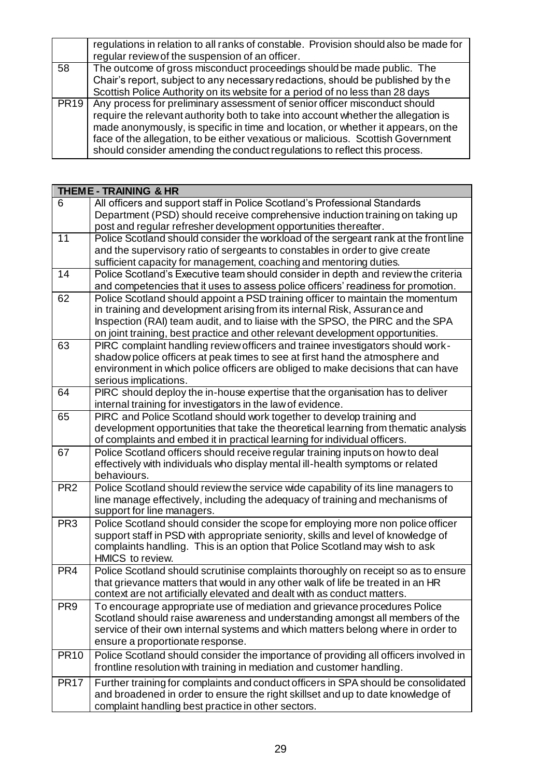|             | regulations in relation to all ranks of constable. Provision should also be made for                                                                                  |
|-------------|-----------------------------------------------------------------------------------------------------------------------------------------------------------------------|
|             | regular review of the suspension of an officer.                                                                                                                       |
| 58          | The outcome of gross misconduct proceedings should be made public. The                                                                                                |
|             | Chair's report, subject to any necessary redactions, should be published by the                                                                                       |
|             | Scottish Police Authority on its website for a period of no less than 28 days                                                                                         |
| <b>PR19</b> | Any process for preliminary assessment of senior officer misconduct should<br>require the relevant authority both to take into account whether the allegation is      |
|             | made anonymously, is specific in time and location, or whether it appears, on the<br>face of the allegation, to be either vexatious or malicious. Scottish Government |
|             | should consider amending the conduct regulations to reflect this process.                                                                                             |

|                 | <b>THEME-TRAINING &amp; HR</b>                                                                |
|-----------------|-----------------------------------------------------------------------------------------------|
| 6               | All officers and support staff in Police Scotland's Professional Standards                    |
|                 | Department (PSD) should receive comprehensive induction training on taking up                 |
|                 | post and regular refresher development opportunities thereafter.                              |
| $\overline{11}$ | Police Scotland should consider the workload of the sergeant rank at the front line           |
|                 | and the supervisory ratio of sergeants to constables in order to give create                  |
|                 | sufficient capacity for management, coaching and mentoring duties.                            |
| $\overline{14}$ | Police Scotland's Executive team should consider in depth and review the criteria             |
|                 | and competencies that it uses to assess police officers' readiness for promotion.             |
| 62              | Police Scotland should appoint a PSD training officer to maintain the momentum                |
|                 | in training and development arising from its internal Risk, Assurance and                     |
|                 | Inspection (RAI) team audit, and to liaise with the SPSO, the PIRC and the SPA                |
|                 | on joint training, best practice and other relevant development opportunities.                |
| 63              | PIRC complaint handling review officers and trainee investigators should work-                |
|                 | shadow police officers at peak times to see at first hand the atmosphere and                  |
|                 | environment in which police officers are obliged to make decisions that can have              |
|                 | serious implications.                                                                         |
| 64              | PIRC should deploy the in-house expertise that the organisation has to deliver                |
|                 | internal training for investigators in the law of evidence.                                   |
| 65              | PIRC and Police Scotland should work together to develop training and                         |
|                 | development opportunities that take the theoretical learning from thematic analysis           |
|                 | of complaints and embed it in practical learning for individual officers.                     |
| 67              | Police Scotland officers should receive regular training inputs on how to deal                |
|                 | effectively with individuals who display mental ill-health symptoms or related<br>behaviours. |
| PR <sub>2</sub> | Police Scotland should review the service wide capability of its line managers to             |
|                 | line manage effectively, including the adequacy of training and mechanisms of                 |
|                 | support for line managers.                                                                    |
| PR <sub>3</sub> | Police Scotland should consider the scope for employing more non police officer               |
|                 | support staff in PSD with appropriate seniority, skills and level of knowledge of             |
|                 | complaints handling. This is an option that Police Scotland may wish to ask                   |
|                 | HMICS to review.                                                                              |
| PR <sub>4</sub> | Police Scotland should scrutinise complaints thoroughly on receipt so as to ensure            |
|                 | that grievance matters that would in any other walk of life be treated in an HR               |
|                 | context are not artificially elevated and dealt with as conduct matters.                      |
| PR <sub>9</sub> | To encourage appropriate use of mediation and grievance procedures Police                     |
|                 | Scotland should raise awareness and understanding amongst all members of the                  |
|                 | service of their own internal systems and which matters belong where in order to              |
|                 | ensure a proportionate response.                                                              |
| <b>PR10</b>     | Police Scotland should consider the importance of providing all officers involved in          |
|                 | frontline resolution with training in mediation and customer handling.                        |
| <b>PR17</b>     | Further training for complaints and conduct officers in SPA should be consolidated            |
|                 | and broadened in order to ensure the right skillset and up to date knowledge of               |
|                 | complaint handling best practice in other sectors.                                            |
|                 |                                                                                               |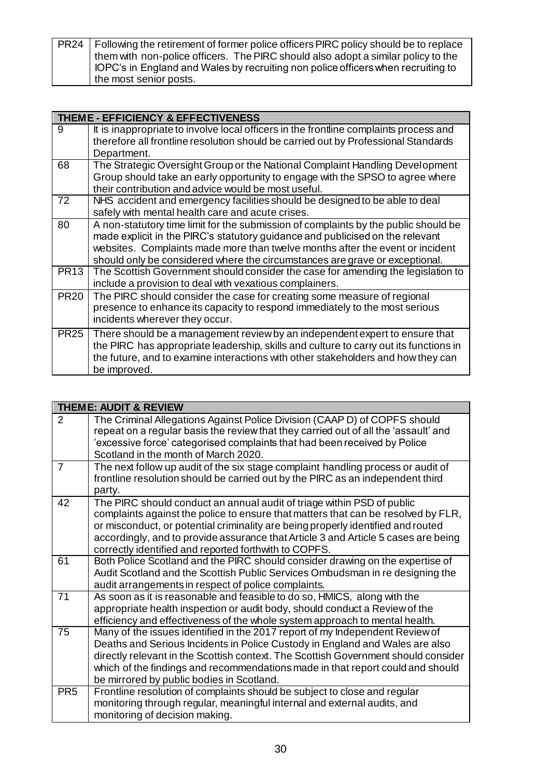| PR24   Following the retirement of former police officers PIRC policy should be to replace |
|--------------------------------------------------------------------------------------------|
| them with non-police officers. The PIRC should also adopt a similar policy to the          |
| IOPC's in England and Wales by recruiting non police officers when recruiting to           |
| the most senior posts.                                                                     |

|             | THEME - EFFICIENCY & EFFECTIVENESS                                                                                                                                                                                                                                                                                                   |  |  |
|-------------|--------------------------------------------------------------------------------------------------------------------------------------------------------------------------------------------------------------------------------------------------------------------------------------------------------------------------------------|--|--|
| 9           | It is inappropriate to involve local officers in the frontline complaints process and<br>therefore all frontline resolution should be carried out by Professional Standards<br>Department.                                                                                                                                           |  |  |
| 68          | The Strategic Oversight Group or the National Complaint Handling Development<br>Group should take an early opportunity to engage with the SPSO to agree where<br>their contribution and advice would be most useful.                                                                                                                 |  |  |
| 72          | NHS accident and emergency facilities should be designed to be able to deal<br>safely with mental health care and acute crises.                                                                                                                                                                                                      |  |  |
| 80          | A non-statutory time limit for the submission of complaints by the public should be<br>made explicit in the PIRC's statutory guidance and publicised on the relevant<br>websites. Complaints made more than twelve months after the event or incident<br>should only be considered where the circumstances are grave or exceptional. |  |  |
| <b>PR13</b> | The Scottish Government should consider the case for amending the legislation to<br>include a provision to deal with vexatious complainers.                                                                                                                                                                                          |  |  |
| <b>PR20</b> | The PIRC should consider the case for creating some measure of regional<br>presence to enhance its capacity to respond immediately to the most serious<br>incidents wherever they occur.                                                                                                                                             |  |  |
| <b>PR25</b> | There should be a management review by an independent expert to ensure that<br>the PIRC has appropriate leadership, skills and culture to carry out its functions in<br>the future, and to examine interactions with other stakeholders and how they can<br>be improved.                                                             |  |  |

| <b>THEME: AUDIT &amp; REVIEW</b> |                                                                                                                                                                                                                                                                                                                                                                                                |  |
|----------------------------------|------------------------------------------------------------------------------------------------------------------------------------------------------------------------------------------------------------------------------------------------------------------------------------------------------------------------------------------------------------------------------------------------|--|
| 2                                | The Criminal Allegations Against Police Division (CAAP D) of COPFS should<br>repeat on a regular basis the review that they carried out of all the 'assault' and<br>'excessive force' categorised complaints that had been received by Police<br>Scotland in the month of March 2020.                                                                                                          |  |
| $\overline{7}$                   | The next follow up audit of the six stage complaint handling process or audit of<br>frontline resolution should be carried out by the PIRC as an independent third<br>party.                                                                                                                                                                                                                   |  |
| 42                               | The PIRC should conduct an annual audit of triage within PSD of public<br>complaints against the police to ensure that matters that can be resolved by FLR,<br>or misconduct, or potential criminality are being properly identified and routed<br>accordingly, and to provide assurance that Article 3 and Article 5 cases are being<br>correctly identified and reported forthwith to COPFS. |  |
| 61                               | Both Police Scotland and the PIRC should consider drawing on the expertise of<br>Audit Scotland and the Scottish Public Services Ombudsman in re designing the<br>audit arrangements in respect of police complaints.                                                                                                                                                                          |  |
| 71                               | As soon as it is reasonable and feasible to do so, HMICS, along with the<br>appropriate health inspection or audit body, should conduct a Review of the<br>efficiency and effectiveness of the whole system approach to mental health.                                                                                                                                                         |  |
| 75                               | Many of the issues identified in the 2017 report of my Independent Review of<br>Deaths and Serious Incidents in Police Custody in England and Wales are also<br>directly relevant in the Scottish context. The Scottish Government should consider<br>which of the findings and recommendations made in that report could and should<br>be mirrored by public bodies in Scotland.              |  |
| PR <sub>5</sub>                  | Frontline resolution of complaints should be subject to close and regular<br>monitoring through regular, meaningful internal and external audits, and<br>monitoring of decision making.                                                                                                                                                                                                        |  |